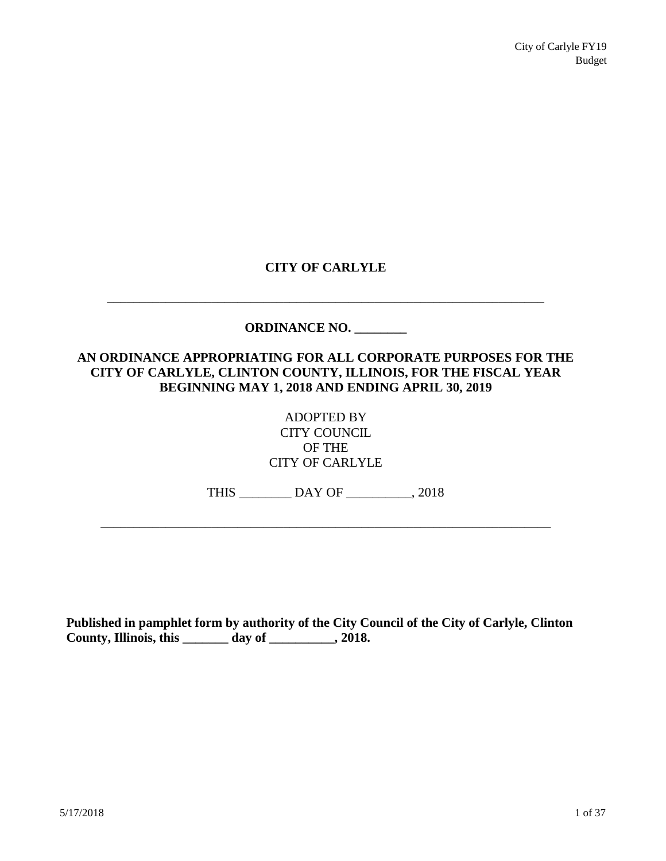# **CITY OF CARLYLE**

# \_\_\_\_\_\_\_\_\_\_\_\_\_\_\_\_\_\_\_\_\_\_\_\_\_\_\_\_\_\_\_\_\_\_\_\_\_\_\_\_\_\_\_\_\_\_\_\_\_\_\_\_\_\_\_\_\_\_\_\_\_\_\_\_\_\_\_ **ORDINANCE NO. \_\_\_\_\_\_\_\_ AN ORDINANCE APPROPRIATING FOR ALL CORPORATE PURPOSES FOR THE CITY OF CARLYLE, CLINTON COUNTY, ILLINOIS, FOR THE FISCAL YEAR BEGINNING MAY 1, 2018 AND ENDING APRIL 30, 2019**

ADOPTED BY CITY COUNCIL OF THE CITY OF CARLYLE

THIS \_\_\_\_\_\_\_\_ DAY OF \_\_\_\_\_\_\_\_\_\_, 2018

\_\_\_\_\_\_\_\_\_\_\_\_\_\_\_\_\_\_\_\_\_\_\_\_\_\_\_\_\_\_\_\_\_\_\_\_\_\_\_\_\_\_\_\_\_\_\_\_\_\_\_\_\_\_\_\_\_\_\_\_\_\_\_\_\_\_\_\_\_

**Published in pamphlet form by authority of the City Council of the City of Carlyle, Clinton County, Illinois, this \_\_\_\_\_\_\_ day of \_\_\_\_\_\_\_\_\_\_, 2018.**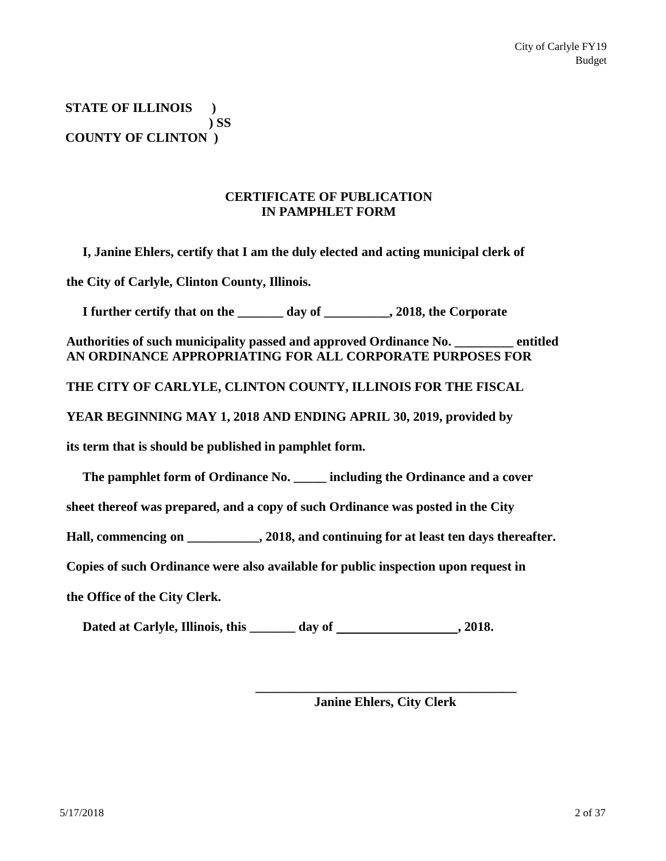**STATE OF ILLINOIS ) ) SS COUNTY OF CLINTON )**

# **CERTIFICATE OF PUBLICATION IN PAMPHLET FORM**

**I, Janine Ehlers, certify that I am the duly elected and acting municipal clerk of the City of Carlyle, Clinton County, Illinois.**

**I further certify that on the \_\_\_\_\_\_\_ day of \_\_\_\_\_\_\_\_\_\_, 2018, the Corporate**

**Authorities of such municipality passed and approved Ordinance No. \_\_\_\_\_\_\_\_\_ entitled AN ORDINANCE APPROPRIATING FOR ALL CORPORATE PURPOSES FOR**

**THE CITY OF CARLYLE, CLINTON COUNTY, ILLINOIS FOR THE FISCAL**

**YEAR BEGINNING MAY 1, 2018 AND ENDING APRIL 30, 2019, provided by** 

**its term that is should be published in pamphlet form.**

**The pamphlet form of Ordinance No. \_\_\_\_\_ including the Ordinance and a cover** 

**sheet thereof was prepared, and a copy of such Ordinance was posted in the City** 

**Hall, commencing on \_\_\_\_\_\_\_\_\_\_\_, 2018, and continuing for at least ten days thereafter.** 

**Copies of such Ordinance were also available for public inspection upon request in** 

**the Office of the City Clerk.**

**Dated at Carlyle, Illinois, this \_\_\_\_\_\_\_ day of , 2018.**

**\_\_\_\_\_\_\_\_\_\_\_\_\_\_\_\_\_\_\_\_\_\_\_\_\_\_\_\_\_\_\_\_\_\_\_\_\_\_\_\_ Janine Ehlers, City Clerk**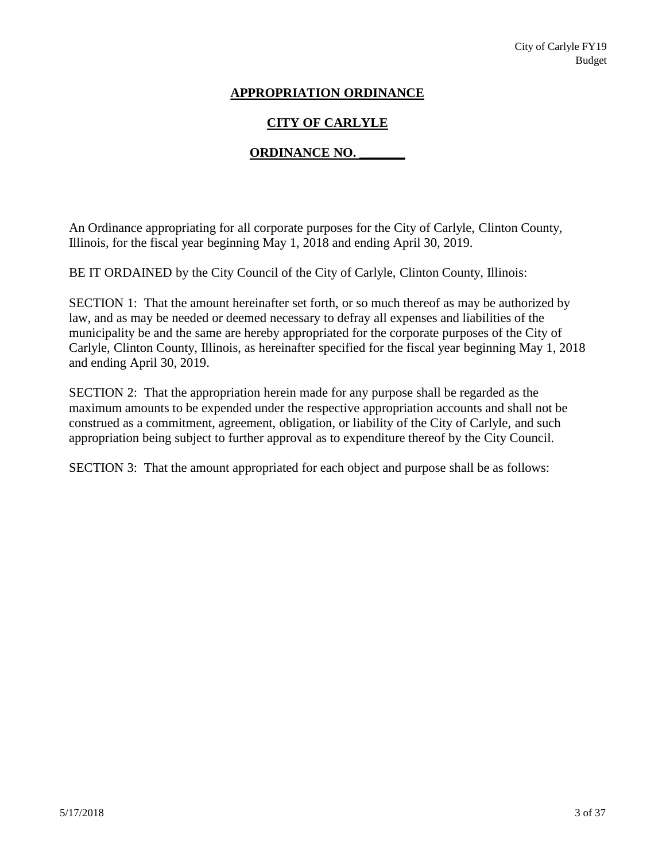# **APPROPRIATION ORDINANCE**

# **CITY OF CARLYLE**

# **ORDINANCE NO. \_\_\_\_\_\_\_**

An Ordinance appropriating for all corporate purposes for the City of Carlyle, Clinton County, Illinois, for the fiscal year beginning May 1, 2018 and ending April 30, 2019.

BE IT ORDAINED by the City Council of the City of Carlyle, Clinton County, Illinois:

SECTION 1: That the amount hereinafter set forth, or so much thereof as may be authorized by law, and as may be needed or deemed necessary to defray all expenses and liabilities of the municipality be and the same are hereby appropriated for the corporate purposes of the City of Carlyle, Clinton County, Illinois, as hereinafter specified for the fiscal year beginning May 1, 2018 and ending April 30, 2019.

SECTION 2: That the appropriation herein made for any purpose shall be regarded as the maximum amounts to be expended under the respective appropriation accounts and shall not be construed as a commitment, agreement, obligation, or liability of the City of Carlyle, and such appropriation being subject to further approval as to expenditure thereof by the City Council.

SECTION 3: That the amount appropriated for each object and purpose shall be as follows: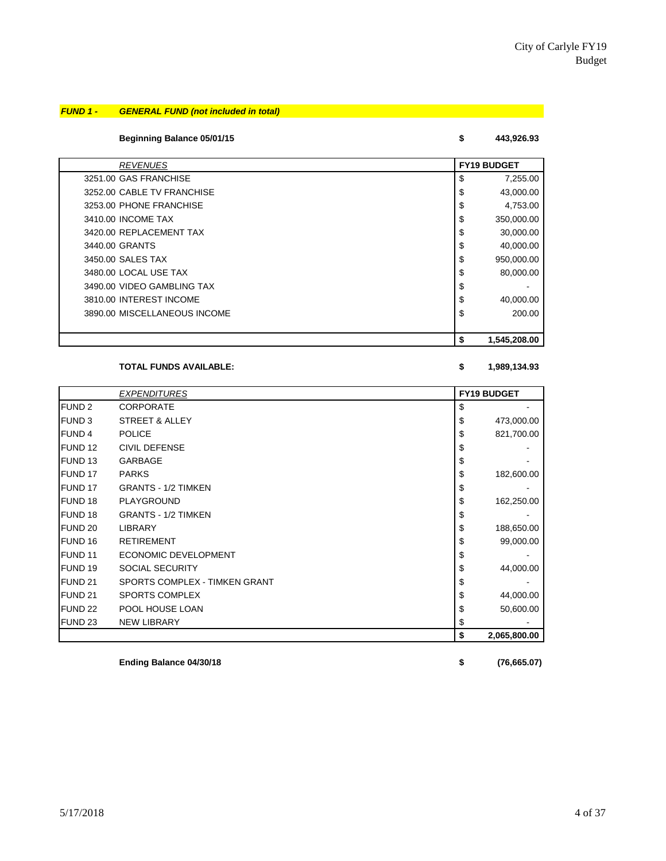# *FUND 1 - GENERAL FUND (not included in total)*

## **Beginning Balance 05/01/15 \$ 443,926.93**

| <b>REVENUES</b>              | <b>FY19 BUDGET</b> |
|------------------------------|--------------------|
| 3251.00 GAS FRANCHISE        | \$<br>7,255.00     |
| 3252.00 CABLE TV FRANCHISE   | \$<br>43,000.00    |
| 3253.00 PHONE FRANCHISE      | \$<br>4,753.00     |
| 3410.00 INCOME TAX           | \$<br>350,000.00   |
| 3420.00 REPLACEMENT TAX      | \$<br>30,000.00    |
| 3440.00 GRANTS               | \$<br>40,000.00    |
| 3450.00 SALES TAX            | \$<br>950.000.00   |
| 3480.00 LOCAL USE TAX        | \$<br>80,000.00    |
| 3490.00 VIDEO GAMBLING TAX   | \$                 |
| 3810.00 INTEREST INCOME      | \$<br>40,000.00    |
| 3890.00 MISCELLANEOUS INCOME | \$<br>200.00       |
|                              |                    |
|                              | \$<br>1,545,208.00 |

## **TOTAL FUNDS AVAILABLE: \$ 1,989,134.93**

|                    | <b>EXPENDITURES</b>           | <b>FY19 BUDGET</b> |
|--------------------|-------------------------------|--------------------|
| FUND <sub>2</sub>  | <b>CORPORATE</b>              | \$                 |
| <b>FUND 3</b>      | <b>STREET &amp; ALLEY</b>     | \$<br>473,000.00   |
| <b>FUND 4</b>      | <b>POLICE</b>                 | \$<br>821,700.00   |
| FUND <sub>12</sub> | <b>CIVIL DEFENSE</b>          | \$                 |
| FUND <sub>13</sub> | GARBAGE                       | \$                 |
| FUND 17            | <b>PARKS</b>                  | \$<br>182,600.00   |
| FUND 17            | <b>GRANTS - 1/2 TIMKEN</b>    | \$                 |
| FUND 18            | PLAYGROUND                    | \$<br>162,250.00   |
| FUND 18            | <b>GRANTS - 1/2 TIMKEN</b>    | \$                 |
| FUND <sub>20</sub> | <b>LIBRARY</b>                | \$<br>188,650.00   |
| FUND 16            | <b>RETIREMENT</b>             | \$<br>99,000.00    |
| FUND <sub>11</sub> | <b>ECONOMIC DEVELOPMENT</b>   | \$                 |
| FUND 19            | <b>SOCIAL SECURITY</b>        | \$<br>44,000.00    |
| FUND <sub>21</sub> | SPORTS COMPLEX - TIMKEN GRANT | \$                 |
| FUND <sub>21</sub> | <b>SPORTS COMPLEX</b>         | \$<br>44,000.00    |
| FUND <sub>22</sub> | POOL HOUSE LOAN               | \$<br>50,600.00    |
| FUND <sub>23</sub> | <b>NEW LIBRARY</b>            | \$                 |
|                    |                               | \$<br>2,065,800.00 |

**Ending Balance 04/30/18 \$ (76,665.07)**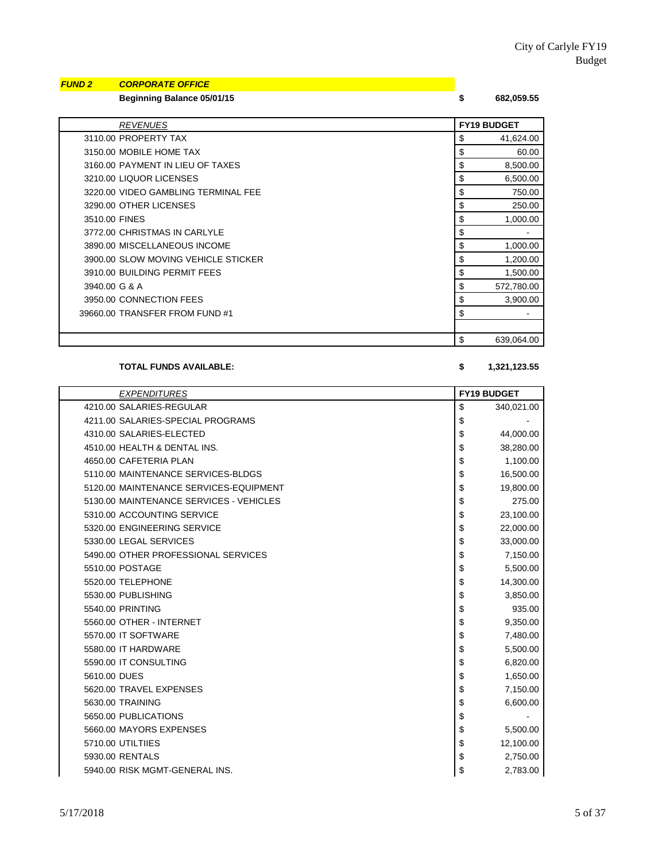# *FUND 2 CORPORATE OFFICE*

**Beginning Balance 05/01/15 \$ 682,059.55**

| <i><b>REVENUES</b></i>              | <b>FY19 BUDGET</b> |
|-------------------------------------|--------------------|
| 3110.00 PROPERTY TAX                | 41,624.00<br>\$    |
| 3150.00 MOBILE HOME TAX             | \$<br>60.00        |
| 3160.00 PAYMENT IN LIEU OF TAXES    | \$<br>8,500.00     |
| 3210.00 LIQUOR LICENSES             | \$<br>6,500.00     |
| 3220.00 VIDEO GAMBLING TERMINAL FEE | \$<br>750.00       |
| 3290.00 OTHER LICENSES              | \$<br>250.00       |
| 3510.00 FINES                       | \$<br>1,000.00     |
| 3772.00 CHRISTMAS IN CARLYLE        | \$                 |
| 3890.00 MISCELLANEOUS INCOME        | \$<br>1,000.00     |
| 3900.00 SLOW MOVING VEHICLE STICKER | \$<br>1,200.00     |
| 3910.00 BUILDING PERMIT FEES        | \$<br>1,500.00     |
| 3940.00 G & A                       | \$<br>572,780.00   |
| 3950.00 CONNECTION FEES             | \$<br>3,900.00     |
| 39660.00 TRANSFER FROM FUND #1      | \$                 |
|                                     |                    |
|                                     | \$<br>639,064.00   |

**TOTAL FUNDS AVAILABLE: \$ 1,321,123.55**

### *EXPENDITURES* **FY19 BUDGET** 4210.00 SALARIES-REGULAR \$ 340,021.00 4211.00 SALARIES-SPECIAL PROGRAMS \$ - 4310.00 SALARIES-ELECTED \$ 44,000.00 4510.00 HEALTH & DENTAL INS.  $\begin{array}{ccc} 1 \end{array}$  38,280.00 4650.00 CAFETERIA PLAN \$ 1,100.00 5110.00 MAINTENANCE SERVICES-BLDGS 5110.00 MAINTENANCE SERVICES-BLDGS 5120.00 MAINTENANCE SERVICES-EQUIPMENT 19,800.00 5130.00 MAINTENANCE SERVICES - VEHICLES **\$** 275.00 5310.00 ACCOUNTING SERVICE **\$** 23,100.00 5320.00 ENGINEERING SERVICE **\$** 22,000.00 5330.00 LEGAL SERVICES **\$1,000.00 UPS \$1,000.00** 5490.00 OTHER PROFESSIONAL SERVICES **\$ 7,150.00** \$ 7,150.00 5510.00 POSTAGE \$ 5,500.00 5520.00 TELEPHONE \$ 14,300.00 5530.00 PUBLISHING 3,850.00 PUBLISHING 3,850.00 5540.00 PRINTING 935.00 5560.00 OTHER - INTERNET **\$ 9,350.00** 5570.00 IT SOFTWARE \$ 7,480.00 5580.00 IT HARDWARE \$ 5,500.00 \$ 5,500.00 5590.00 IT CONSULTING 6.820.00 5610.00 DUES \$ 1,650.00 5620.00 TRAVEL EXPENSES \$ 7,150.00 5630.00 TRAINING 6,600.00 **\$ 6,600.00** 5650.00 PUBLICATIONS \$ - 5660.00 MAYORS EXPENSES \$ 5,500.00 5710.00 UTILTIIES \$ 12,100.00 5930.00 RENTALS \$ 2,750.00 5940.00 RISK MGMT-GENERAL INS. \$ 2,783.00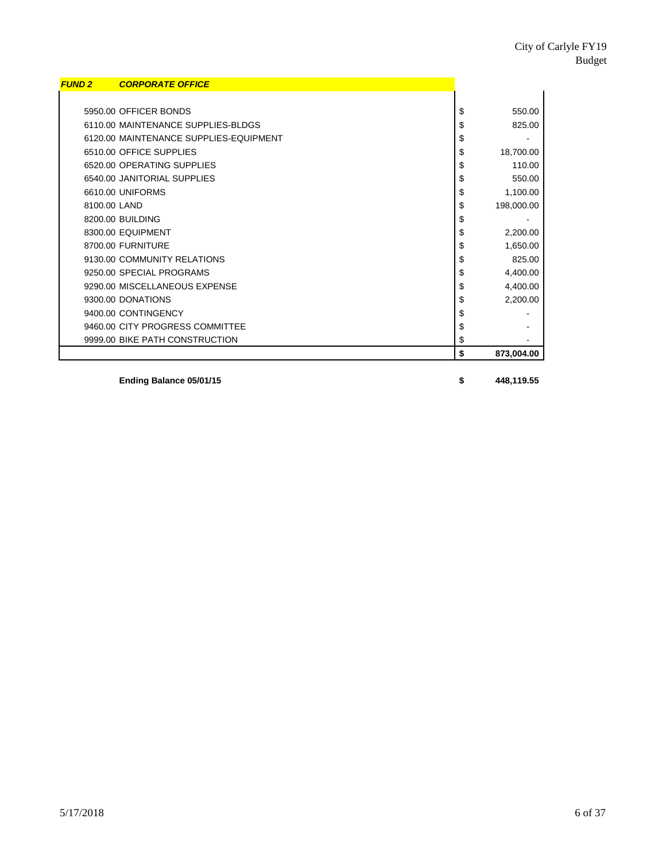| <b>FUND 2</b> | <b>CORPORATE OFFICE</b>                |                  |
|---------------|----------------------------------------|------------------|
|               |                                        |                  |
|               | 5950.00 OFFICER BONDS                  | \$<br>550.00     |
|               | 6110.00 MAINTENANCE SUPPLIES-BLDGS     | \$<br>825.00     |
|               | 6120.00 MAINTENANCE SUPPLIES-EQUIPMENT | \$               |
|               | 6510.00 OFFICE SUPPLIES                | \$<br>18,700.00  |
|               | 6520.00 OPERATING SUPPLIES             | \$<br>110.00     |
|               | 6540.00 JANITORIAL SUPPLIES            | \$<br>550.00     |
|               | 6610.00 UNIFORMS                       | \$<br>1,100.00   |
| 8100.00 LAND  |                                        | \$<br>198,000.00 |
|               | 8200.00 BUILDING                       | \$               |
|               | 8300.00 EQUIPMENT                      | \$<br>2,200.00   |
|               | 8700.00 FURNITURE                      | \$<br>1,650.00   |
|               | 9130.00 COMMUNITY RELATIONS            | \$<br>825.00     |
|               | 9250.00 SPECIAL PROGRAMS               | \$<br>4,400.00   |
|               | 9290.00 MISCELLANEOUS EXPENSE          | \$<br>4,400.00   |
|               | 9300.00 DONATIONS                      | \$<br>2,200.00   |
|               | 9400.00 CONTINGENCY                    | \$               |
|               | 9460.00 CITY PROGRESS COMMITTEE        | \$               |
|               | 9999.00 BIKE PATH CONSTRUCTION         | \$               |
|               |                                        | \$<br>873,004.00 |

**Ending Balance 05/01/15 \$ 448,119.55**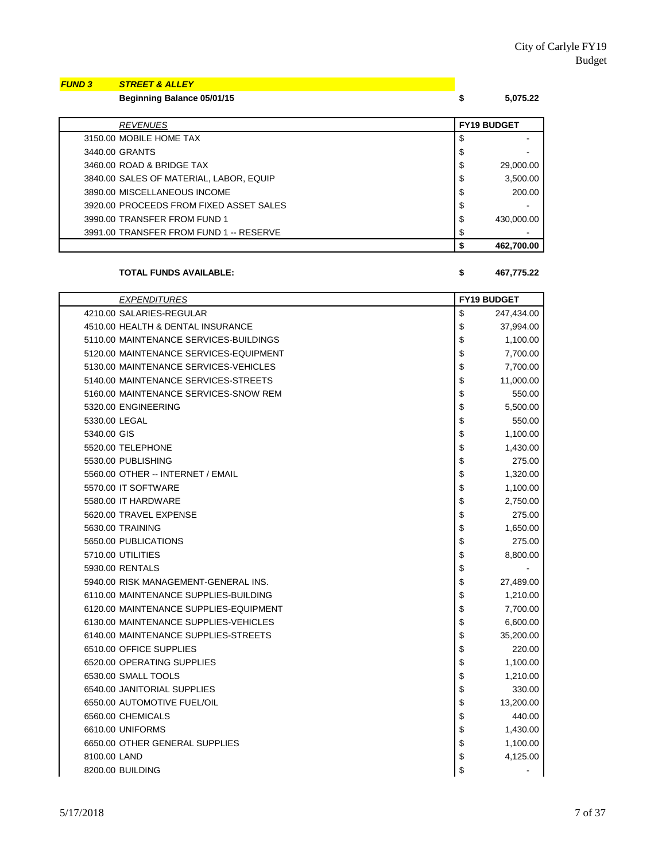# *FUND 3 STREET & ALLEY*

**Beginning Balance 05/01/15 \$ 5,075.22**

| <b>FY19 BUDGET</b><br><b>REVENUES</b><br>\$<br>3150.00 MOBILE HOME TAX<br>3440.00 GRANTS<br>\$<br>\$<br>3460.00 ROAD & BRIDGE TAX<br>\$<br>3840.00 SALES OF MATERIAL, LABOR, EQUIP<br>\$<br>3890.00 MISCELLANEOUS INCOME<br>\$<br>3920.00 PROCEEDS FROM FIXED ASSET SALES<br>\$<br>3990.00 TRANSFER FROM FUND 1<br>3991.00 TRANSFER FROM FUND 1 -- RESERVE<br>\$ |  | 462,700.00 |
|------------------------------------------------------------------------------------------------------------------------------------------------------------------------------------------------------------------------------------------------------------------------------------------------------------------------------------------------------------------|--|------------|
|                                                                                                                                                                                                                                                                                                                                                                  |  |            |
|                                                                                                                                                                                                                                                                                                                                                                  |  | 430,000.00 |
|                                                                                                                                                                                                                                                                                                                                                                  |  |            |
|                                                                                                                                                                                                                                                                                                                                                                  |  | 200.00     |
|                                                                                                                                                                                                                                                                                                                                                                  |  | 3,500.00   |
|                                                                                                                                                                                                                                                                                                                                                                  |  | 29,000.00  |
|                                                                                                                                                                                                                                                                                                                                                                  |  |            |
|                                                                                                                                                                                                                                                                                                                                                                  |  |            |
|                                                                                                                                                                                                                                                                                                                                                                  |  |            |

#### **TOTAL FUNDS AVAILABLE: \$ 467,775.22**

| <b>EXPENDITURES</b>                    | <b>FY19 BUDGET</b> |
|----------------------------------------|--------------------|
| 4210.00 SALARIES-REGULAR               | \$<br>247,434.00   |
| 4510.00 HEALTH & DENTAL INSURANCE      | \$<br>37,994.00    |
| 5110.00 MAINTENANCE SERVICES-BUILDINGS | \$<br>1,100.00     |
| 5120.00 MAINTENANCE SERVICES-EQUIPMENT | \$<br>7,700.00     |
| 5130.00 MAINTENANCE SERVICES-VEHICLES  | \$<br>7,700.00     |
| 5140.00 MAINTENANCE SERVICES-STREETS   | \$<br>11,000.00    |
| 5160.00 MAINTENANCE SERVICES-SNOW REM  | \$<br>550.00       |
| 5320.00 ENGINEERING                    | \$<br>5,500.00     |
| 5330.00 LEGAL                          | \$<br>550.00       |
| 5340.00 GIS                            | \$<br>1,100.00     |
| 5520.00 TELEPHONE                      | \$<br>1,430.00     |
| 5530.00 PUBLISHING                     | \$<br>275.00       |
| 5560.00 OTHER -- INTERNET / EMAIL      | \$<br>1,320.00     |
| 5570.00 IT SOFTWARE                    | \$<br>1,100.00     |
| 5580.00 IT HARDWARE                    | \$<br>2,750.00     |
| 5620.00 TRAVEL EXPENSE                 | \$<br>275.00       |
| 5630.00 TRAINING                       | \$<br>1,650.00     |
| 5650.00 PUBLICATIONS                   | \$<br>275.00       |
| 5710.00 UTILITIES                      | \$<br>8,800.00     |
| 5930.00 RENTALS                        | \$                 |
| 5940.00 RISK MANAGEMENT-GENERAL INS.   | \$<br>27,489.00    |
| 6110.00 MAINTENANCE SUPPLIES-BUILDING  | \$<br>1,210.00     |
| 6120.00 MAINTENANCE SUPPLIES-EQUIPMENT | \$<br>7,700.00     |
| 6130.00 MAINTENANCE SUPPLIES-VEHICLES  | \$<br>6,600.00     |
| 6140.00 MAINTENANCE SUPPLIES-STREETS   | \$<br>35,200.00    |
| 6510.00 OFFICE SUPPLIES                | \$<br>220.00       |
| 6520.00 OPERATING SUPPLIES             | \$<br>1,100.00     |
| 6530.00 SMALL TOOLS                    | \$<br>1,210.00     |
| 6540.00 JANITORIAL SUPPLIES            | \$<br>330.00       |
| 6550.00 AUTOMOTIVE FUEL/OIL            | \$<br>13,200.00    |
| 6560.00 CHEMICALS                      | \$<br>440.00       |
| 6610.00 UNIFORMS                       | \$<br>1,430.00     |
| 6650.00 OTHER GENERAL SUPPLIES         | \$<br>1,100.00     |
| 8100.00 LAND                           | \$<br>4,125.00     |
| 8200.00 BUILDING                       | \$                 |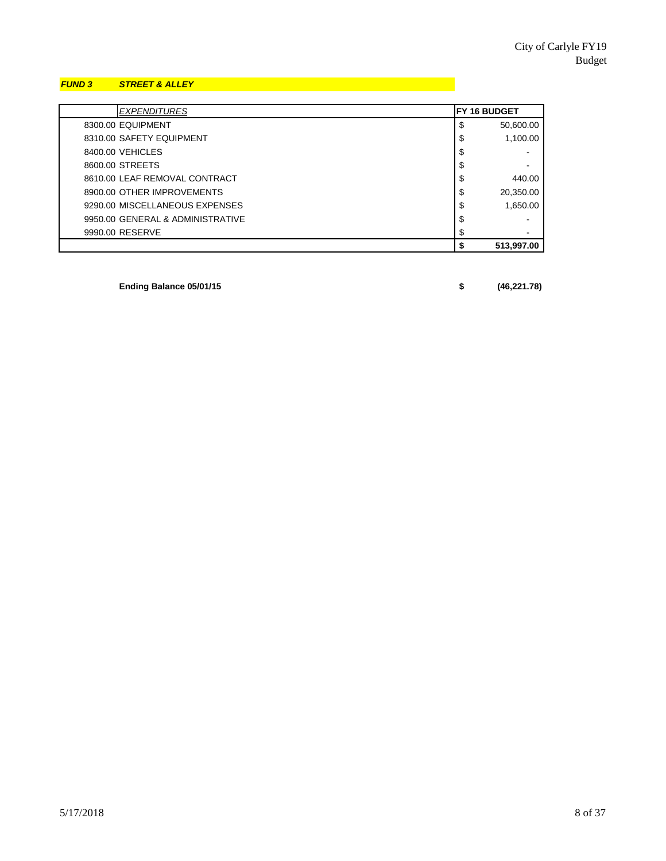### *FUND 3 STREET & ALLEY*

| <b>EXPENDITURES</b>              | <b>FY 16 BUDGET</b> |            |
|----------------------------------|---------------------|------------|
| 8300.00 EQUIPMENT                | \$                  | 50,600.00  |
| 8310.00 SAFETY EQUIPMENT         | \$                  | 1,100.00   |
| 8400.00 VEHICLES                 | \$                  |            |
| 8600.00 STREETS                  | \$                  |            |
| 8610.00 LEAF REMOVAL CONTRACT    | \$                  | 440.00     |
| 8900.00 OTHER IMPROVEMENTS       | \$                  | 20,350.00  |
| 9290.00 MISCELLANEOUS EXPENSES   | \$                  | 1,650.00   |
| 9950.00 GENERAL & ADMINISTRATIVE | \$                  |            |
| 9990.00 RESERVE                  | \$                  |            |
|                                  | S                   | 513,997.00 |

**Ending Balance 05/01/15 \$ (46,221.78)**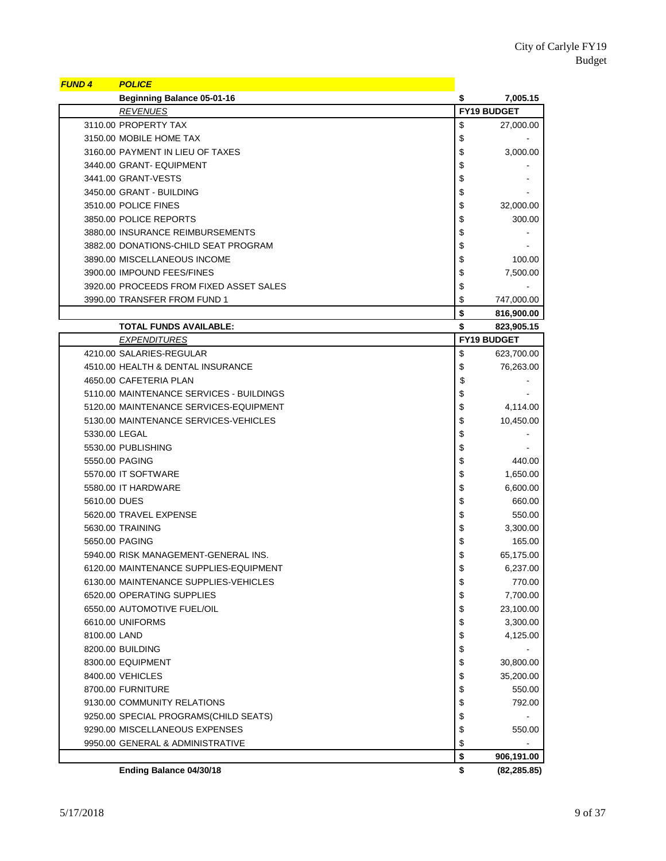| <b>FUND 4</b>     | <b>POLICE</b>                            |                    |
|-------------------|------------------------------------------|--------------------|
|                   | <b>Beginning Balance 05-01-16</b>        | \$<br>7,005.15     |
|                   | <b>REVENUES</b>                          | <b>FY19 BUDGET</b> |
|                   | 3110.00 PROPERTY TAX                     | \$<br>27,000.00    |
|                   | 3150.00 MOBILE HOME TAX                  | \$                 |
|                   | 3160.00 PAYMENT IN LIEU OF TAXES         | \$<br>3,000.00     |
|                   | 3440.00 GRANT- EQUIPMENT                 | \$                 |
|                   | 3441.00 GRANT-VESTS                      | \$                 |
|                   | 3450.00 GRANT - BUILDING                 | \$                 |
|                   | 3510.00 POLICE FINES                     | \$<br>32,000.00    |
|                   | 3850.00 POLICE REPORTS                   | \$<br>300.00       |
|                   | 3880.00 INSURANCE REIMBURSEMENTS         | \$                 |
|                   | 3882.00 DONATIONS-CHILD SEAT PROGRAM     | \$                 |
|                   | 3890.00 MISCELLANEOUS INCOME             | \$<br>100.00       |
|                   | 3900.00 IMPOUND FEES/FINES               | \$<br>7,500.00     |
|                   | 3920.00 PROCEEDS FROM FIXED ASSET SALES  | \$                 |
|                   | 3990.00 TRANSFER FROM FUND 1             | \$<br>747,000.00   |
|                   |                                          | \$<br>816,900.00   |
|                   | <b>TOTAL FUNDS AVAILABLE:</b>            | \$<br>823,905.15   |
|                   | <b>EXPENDITURES</b>                      | FY19 BUDGET        |
|                   | 4210.00 SALARIES-REGULAR                 | \$<br>623,700.00   |
|                   | 4510.00 HEALTH & DENTAL INSURANCE        | \$<br>76,263.00    |
|                   | 4650.00 CAFETERIA PLAN                   | \$                 |
|                   | 5110.00 MAINTENANCE SERVICES - BUILDINGS | \$                 |
|                   | 5120.00 MAINTENANCE SERVICES-EQUIPMENT   | \$<br>4,114.00     |
|                   | 5130.00 MAINTENANCE SERVICES-VEHICLES    | \$<br>10,450.00    |
| 5330.00 LEGAL     |                                          | \$                 |
|                   | 5530.00 PUBLISHING                       | \$                 |
| 5550.00 PAGING    |                                          | \$<br>440.00       |
|                   | 5570.00 IT SOFTWARE                      | \$<br>1,650.00     |
|                   | 5580.00 IT HARDWARE                      |                    |
|                   |                                          | \$<br>6,600.00     |
| 5610.00 DUES      |                                          | \$<br>660.00       |
|                   | 5620.00 TRAVEL EXPENSE                   | \$<br>550.00       |
| 5630.00 TRAINING  |                                          | \$<br>3,300.00     |
| 5650.00 PAGING    |                                          | \$<br>165.00       |
|                   | 5940.00 RISK MANAGEMENT-GENERAL INS.     | \$<br>65,175.00    |
|                   | 6120.00 MAINTENANCE SUPPLIES-EQUIPMENT   | \$<br>6,237.00     |
|                   | 6130.00 MAINTENANCE SUPPLIES-VEHICLES    | \$<br>770.00       |
|                   | 6520.00 OPERATING SUPPLIES               | \$<br>7,700.00     |
|                   | 6550.00 AUTOMOTIVE FUEL/OIL              | \$<br>23,100.00    |
| 6610.00 UNIFORMS  |                                          | \$<br>3,300.00     |
| 8100.00 LAND      |                                          | \$<br>4,125.00     |
| 8200.00 BUILDING  |                                          | \$                 |
|                   | 8300.00 EQUIPMENT                        | \$<br>30,800.00    |
| 8400.00 VEHICLES  |                                          | \$<br>35,200.00    |
| 8700.00 FURNITURE |                                          | \$<br>550.00       |
|                   | 9130.00 COMMUNITY RELATIONS              | \$<br>792.00       |
|                   | 9250.00 SPECIAL PROGRAMS(CHILD SEATS)    | \$                 |
|                   | 9290.00 MISCELLANEOUS EXPENSES           | \$<br>550.00       |
|                   | 9950.00 GENERAL & ADMINISTRATIVE         | \$                 |
|                   |                                          | \$<br>906,191.00   |
|                   | Ending Balance 04/30/18                  | \$<br>(82, 285.85) |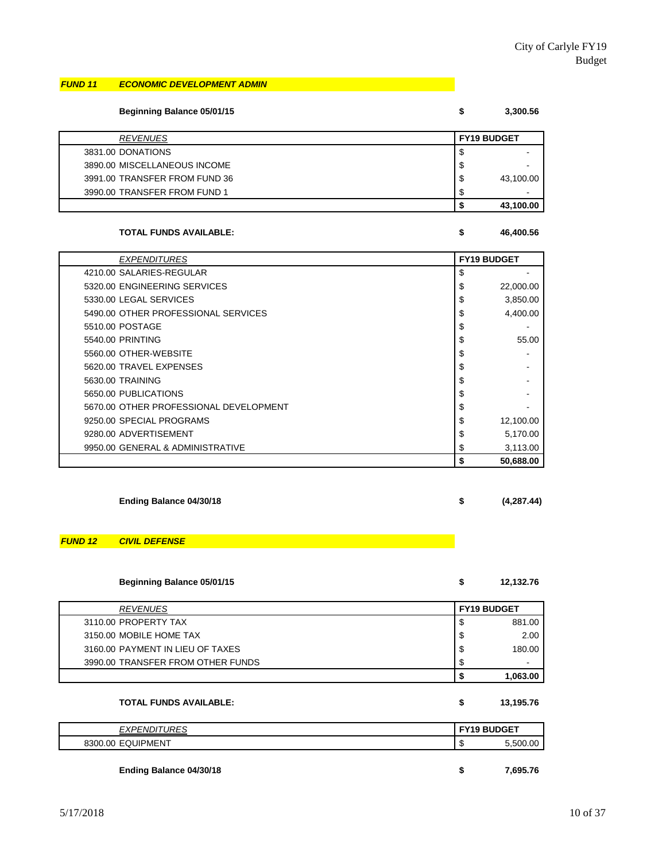#### *FUND 11 ECONOMIC DEVELOPMENT ADMIN*

| <b>Beginning Balance 05/01/15</b> | \$<br>3,300.56     |
|-----------------------------------|--------------------|
| <b>REVENUES</b>                   | <b>FY19 BUDGET</b> |
| 3831.00 DONATIONS                 | \$                 |
| 3890.00 MISCELLANEOUS INCOME      | \$                 |
| 3991.00 TRANSFER FROM FUND 36     | \$<br>43,100.00    |
| 3990.00 TRANSFER FROM FUND 1      |                    |
|                                   | 43,100.00          |

#### **TOTAL FUNDS AVAILABLE: \$ 46,400.56**

*EXPENDITURES* **FY19 BUDGET** 4210.00 SALARIES-REGULAR 5 5320.00 ENGINEERING SERVICES **\$** 22,000.00 5330.00 LEGAL SERVICES \$ 3,850.00 5490.00 OTHER PROFESSIONAL SERVICES  $\begin{array}{ccc} 1 & 3 & 4,400.00 \\ 3 & 4,400.00 \end{array}$  $\sim$  5510.00 POSTAGE  $\sim$ 5540.00 PRINTING 5510.00 PRINTING 555.00 5560.00 OTHER-WEBSITE **the contract of the contract of the contract of the contract of the contract of the contract of the contract of the contract of the contract of the contract of the contract of the contract of the con** 5620.00 TRAVEL EXPENSES FOR A SERIES AND THE SERIES OF A SERIES OF A SERIES OF A SERIES OF A SERIES OF A SERIES 5630.00 TRAINING \$ - 5650.00 PUBLICATIONS **\$** 5650.00 PUBLICATIONS **\$ 5650.00 PUBLICATIONS** 5670.00 OTHER PROFESSIONAL DEVELOPMENT STEED ASSESSMENT 9250.00 SPECIAL PROGRAMS  $\begin{array}{ccc} 12,100.00 \\ \end{array}$ 9280.00 ADVERTISEMENT \$ 5,170.00 9950.00 GENERAL & ADMINISTRATIVE \$ 3,113.00 **\$ 50,688.00**

**Ending Balance 04/30/18 \$ (4,287.44)**

# *FUND 12 CIVIL DEFENSE*

| Beginning Balance 05/01/15 |  | 12,132.76 |
|----------------------------|--|-----------|
|----------------------------|--|-----------|

| <b>REVENUES</b>                   | <b>FY19 BUDGET</b> |          |
|-----------------------------------|--------------------|----------|
| 3110.00 PROPERTY TAX              | Ф                  | 881.00   |
| 3150.00 MOBILE HOME TAX           | S                  | 2.00     |
| 3160.00 PAYMENT IN LIEU OF TAXES  | ╓<br>ъ             | 180.00   |
| 3990.00 TRANSFER FROM OTHER FUNDS | S                  | -        |
|                                   |                    | 1,063.00 |

#### **TOTAL FUNDS AVAILABLE: \$ 13,195.76**

| <b>EXPENDITURES</b>     | l FY19 BUDGET |          |
|-------------------------|---------------|----------|
| 8300.00 EQUIPMENT       | Œ             | 5,500.00 |
|                         |               |          |
| Ending Balance 04/30/18 |               | 7.695.76 |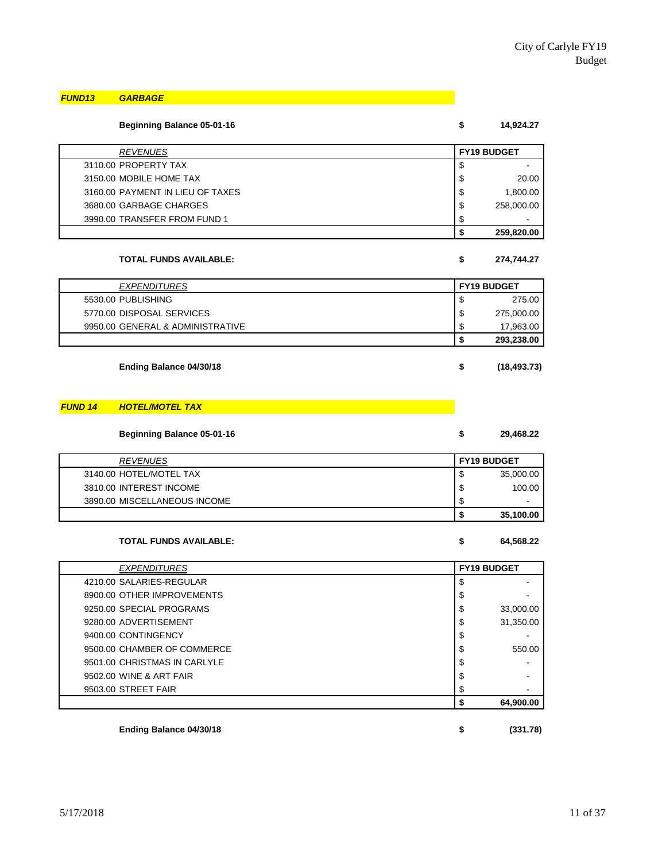# *FUND13 GARBAGE*

#### **Beginning Balance 05-01-16 \$ 14,924.27**

| <b>REVENUES</b>                  | <b>FY19 BUDGET</b> |            |
|----------------------------------|--------------------|------------|
| 3110.00 PROPERTY TAX             | \$                 | ۰          |
| 3150.00 MOBILE HOME TAX          | \$                 | 20.00      |
| 3160.00 PAYMENT IN LIEU OF TAXES | \$                 | 1.800.00   |
| 3680.00 GARBAGE CHARGES          | \$                 | 258,000.00 |
| 3990.00 TRANSFER FROM FUND 1     | \$                 | $\,$       |
|                                  | œ                  | 259.820.00 |

#### **TOTAL FUNDS AVAILABLE: \$ 274,744.27**

| <i><b>EXPENDITURES</b></i>       |    | <b>FY19 BUDGET</b> |
|----------------------------------|----|--------------------|
| 5530.00 PUBLISHING               | \$ | 275.00             |
| 5770.00 DISPOSAL SERVICES        | \$ | 275,000.00         |
| 9950.00 GENERAL & ADMINISTRATIVE | \$ | 17,963.00          |
|                                  | S  | 293,238.00         |

**Ending Balance 04/30/18 \$ (18,493.73)**

#### *FUND 14 HOTEL/MOTEL TAX*

| <b>Beginning Balance 05-01-16</b> | 29,468.22 |
|-----------------------------------|-----------|
|                                   |           |

| <b>REVENUES</b>              |    | <b>FY19 BUDGET</b>       |
|------------------------------|----|--------------------------|
| 3140.00 HOTEL/MOTEL TAX      | ۰D | 35,000.00                |
| 3810.00 INTEREST INCOME      | D  | 100.00                   |
| 3890.00 MISCELLANEOUS INCOME | ۰D | $\overline{\phantom{0}}$ |
|                              |    | 35,100.00                |

#### **TOTAL FUNDS AVAILABLE: \$ 64,568.22**

| <b>EXPENDITURES</b>          |    | <b>FY19 BUDGET</b> |
|------------------------------|----|--------------------|
| 4210.00 SALARIES-REGULAR     | \$ |                    |
| 8900.00 OTHER IMPROVEMENTS   | \$ |                    |
| 9250.00 SPECIAL PROGRAMS     | \$ | 33,000.00          |
| 9280.00 ADVERTISEMENT        | \$ | 31,350.00          |
| 9400.00 CONTINGENCY          | \$ |                    |
| 9500.00 CHAMBER OF COMMERCE  | \$ | 550.00             |
| 9501.00 CHRISTMAS IN CARLYLE | \$ |                    |
| 9502.00 WINE & ART FAIR      | \$ |                    |
| 9503.00 STREET FAIR          | J  |                    |
|                              |    | 64,900.00          |

**Ending Balance 04/30/18 \$ (331.78)**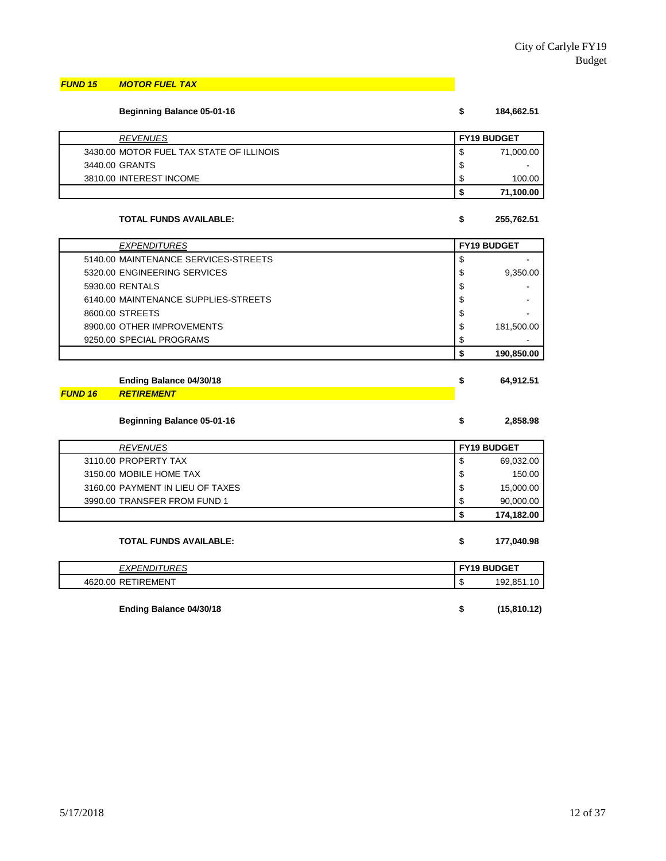#### *FUND 15 MOTOR FUEL TAX*

| <b>Beginning Balance 05-01-16</b>        |    | 184,662.51         |
|------------------------------------------|----|--------------------|
| <b>REVENUES</b>                          |    | <b>FY19 BUDGET</b> |
| 3430.00 MOTOR FUEL TAX STATE OF ILLINOIS | S  | 71,000.00          |
| 3440.00 GRANTS                           | \$ |                    |
| 3810.00 INTEREST INCOME                  | S  | 100.00             |
|                                          |    | 71,100.00          |

#### **TOTAL FUNDS AVAILABLE:**  $\frac{1}{25}$

| <b>EXPENDITURES</b>                  | <b>FY19 BUDGET</b> |            |
|--------------------------------------|--------------------|------------|
| 5140.00 MAINTENANCE SERVICES-STREETS | \$                 |            |
| 5320.00 ENGINEERING SERVICES         | \$                 | 9.350.00   |
| 5930.00 RENTALS                      | \$                 |            |
| 6140.00 MAINTENANCE SUPPLIES-STREETS | \$                 |            |
| 8600.00 STREETS                      | \$                 |            |
| 8900.00 OTHER IMPROVEMENTS           | \$                 | 181,500.00 |
| 9250.00 SPECIAL PROGRAMS             | \$                 |            |
|                                      |                    | 190,850.00 |

| Ending Balance 04/30/18   | 64.912.51 |
|---------------------------|-----------|
| <b>FUND 16 RETIREMENT</b> |           |

#### **Beginning Balance 05-01-16 \$ 2,858.98**

| <b>REVENUES</b>                  |   | <b>FY19 BUDGET</b> |
|----------------------------------|---|--------------------|
| 3110.00 PROPERTY TAX             | S | 69,032.00          |
| 3150.00 MOBILE HOME TAX          | S | 150.00             |
| 3160.00 PAYMENT IN LIEU OF TAXES | S | 15,000.00          |
| 3990.00 TRANSFER FROM FUND 1     | S | 90,000.00          |
|                                  |   | 174,182.00         |

| <b>TOTAL FUNDS AVAILABLE:</b> | 177,040.98 |
|-------------------------------|------------|
|                               |            |

| <i><b>EXPENDITURES</b></i> | l FY19 BUDGET    |
|----------------------------|------------------|
| 4620.00 RETIREMENT         | 192.851.10<br>۰D |
|                            |                  |
| Ending Balance 04/30/18    | (15,810.12)<br>S |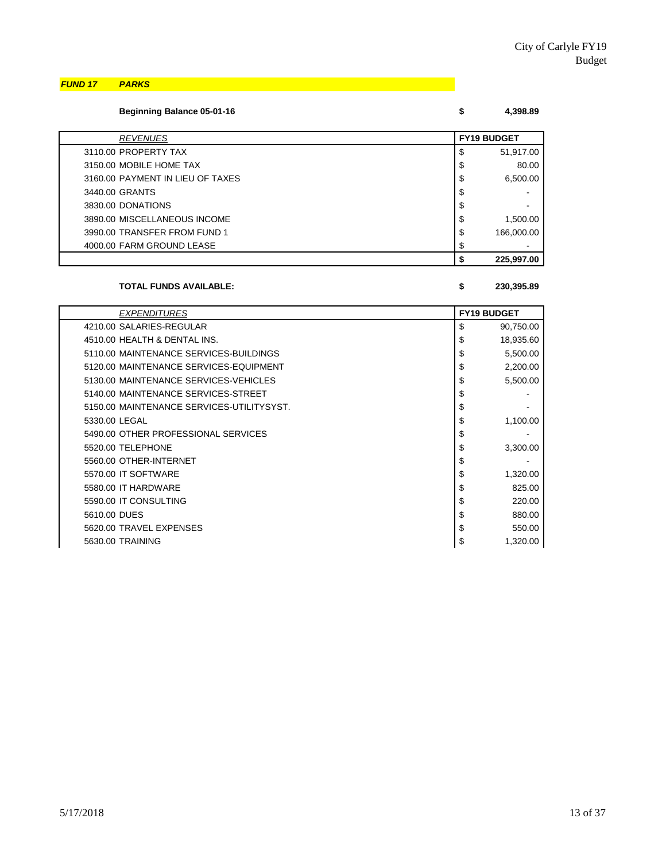*FUND 17 PARKS*

| <b>Beginning Balance 05-01-16</b> |  | 4,398.89 |
|-----------------------------------|--|----------|
|-----------------------------------|--|----------|

| <b>REVENUES</b>                  | <b>FY19 BUDGET</b> |
|----------------------------------|--------------------|
| 3110.00 PROPERTY TAX             | \$<br>51,917.00    |
| 3150.00 MOBILE HOME TAX          | \$<br>80.00        |
| 3160.00 PAYMENT IN LIEU OF TAXES | \$<br>6,500.00     |
| 3440.00 GRANTS                   | \$                 |
| 3830.00 DONATIONS                | \$                 |
| 3890.00 MISCELLANEOUS INCOME     | \$<br>1,500.00     |
| 3990.00 TRANSFER FROM FUND 1     | \$<br>166,000.00   |
| 4000.00 FARM GROUND LEASE        | \$                 |
|                                  | 225,997.00         |

#### **TOTAL FUNDS AVAILABLE: \$ 230,395.89**

| <b>EXPENDITURES</b>                       | <b>FY19 BUDGET</b> |
|-------------------------------------------|--------------------|
| 4210.00 SALARIES-REGULAR                  | \$<br>90,750.00    |
| 4510.00 HEALTH & DENTAL INS.              | \$<br>18,935.60    |
| 5110.00 MAINTENANCE SERVICES-BUILDINGS    | \$<br>5,500.00     |
| 5120.00 MAINTENANCE SERVICES-EQUIPMENT    | \$<br>2,200.00     |
| 5130.00 MAINTENANCE SERVICES-VEHICLES     | \$<br>5,500.00     |
| 5140.00 MAINTENANCE SERVICES-STREET       | \$                 |
| 5150.00 MAINTENANCE SERVICES-UTILITYSYST. | \$                 |
| 5330.00 LEGAL                             | \$<br>1,100.00     |
| 5490.00 OTHER PROFESSIONAL SERVICES       | \$                 |
| 5520.00 TELEPHONE                         | \$<br>3,300.00     |
| 5560.00 OTHER-INTERNET                    | \$                 |
| 5570.00 IT SOFTWARE                       | \$<br>1,320.00     |
| 5580.00 IT HARDWARE                       | \$<br>825.00       |
| 5590.00 IT CONSULTING                     | \$<br>220.00       |
| 5610.00 DUES                              | \$<br>880.00       |
| 5620.00 TRAVEL EXPENSES                   | \$<br>550.00       |
| 5630.00 TRAINING                          | \$<br>1,320.00     |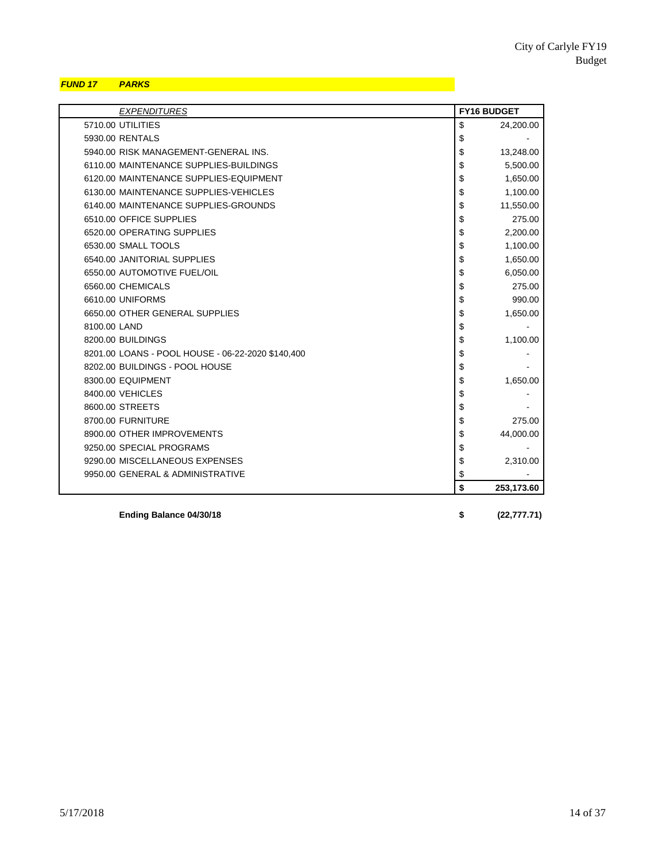## *FUND 17 PARKS*

| <b>EXPENDITURES</b>                               | <b>FY16 BUDGET</b> |
|---------------------------------------------------|--------------------|
| 5710.00 UTILITIES                                 | \$<br>24,200.00    |
| 5930.00 RENTALS                                   | \$                 |
| 5940.00 RISK MANAGEMENT-GENERAL INS.              | \$<br>13,248.00    |
| 6110.00 MAINTENANCE SUPPLIES-BUILDINGS            | \$<br>5,500.00     |
| 6120.00 MAINTENANCE SUPPLIES-EQUIPMENT            | \$<br>1,650.00     |
| 6130.00 MAINTENANCE SUPPLIES-VEHICLES             | \$<br>1,100.00     |
| 6140.00 MAINTENANCE SUPPLIES-GROUNDS              | \$<br>11,550.00    |
| 6510.00 OFFICE SUPPLIES                           | \$<br>275.00       |
| 6520.00 OPERATING SUPPLIES                        | \$<br>2,200.00     |
| 6530.00 SMALL TOOLS                               | \$<br>1,100.00     |
| 6540.00 JANITORIAL SUPPLIES                       | \$<br>1,650.00     |
| 6550.00 AUTOMOTIVE FUEL/OIL                       | \$<br>6,050.00     |
| 6560.00 CHEMICALS                                 | \$<br>275.00       |
| 6610.00 UNIFORMS                                  | \$<br>990.00       |
| 6650.00 OTHER GENERAL SUPPLIES                    | \$<br>1,650.00     |
| 8100.00 LAND                                      | \$                 |
| 8200.00 BUILDINGS                                 | \$<br>1,100.00     |
| 8201.00 LOANS - POOL HOUSE - 06-22-2020 \$140,400 | \$                 |
| 8202.00 BUILDINGS - POOL HOUSE                    | \$                 |
| 8300.00 EQUIPMENT                                 | \$<br>1,650.00     |
| 8400.00 VEHICLES                                  | \$                 |
| 8600.00 STREETS                                   | \$                 |
| 8700.00 FURNITURE                                 | \$<br>275.00       |
| 8900.00 OTHER IMPROVEMENTS                        | \$<br>44,000.00    |
| 9250.00 SPECIAL PROGRAMS                          | \$                 |
| 9290.00 MISCELLANEOUS EXPENSES                    | \$<br>2,310.00     |
| 9950.00 GENERAL & ADMINISTRATIVE                  | \$                 |
|                                                   | \$<br>253,173.60   |

**Ending Balance 04/30/18 \$ (22,777.71)**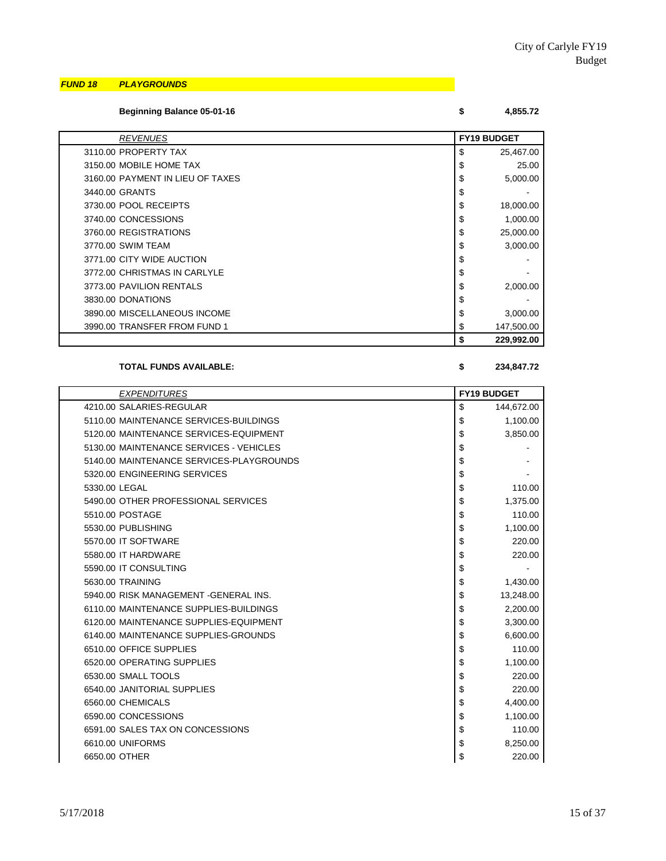### *FUND 18 PLAYGROUNDS*

**Beginning Balance 05-01-16 \$ 4,855.72**

| <b>REVENUES</b>                  | <b>FY19 BUDGET</b> |
|----------------------------------|--------------------|
| 3110.00 PROPERTY TAX             | \$<br>25,467.00    |
| 3150.00 MOBILE HOME TAX          | \$<br>25.00        |
| 3160.00 PAYMENT IN LIEU OF TAXES | \$<br>5,000.00     |
| 3440.00 GRANTS                   | \$                 |
| 3730.00 POOL RECEIPTS            | \$<br>18,000.00    |
| 3740.00 CONCESSIONS              | \$<br>1,000.00     |
| 3760.00 REGISTRATIONS            | \$<br>25,000.00    |
| 3770.00 SWIM TEAM                | \$<br>3,000.00     |
| 3771.00 CITY WIDE AUCTION        | \$                 |
| 3772.00 CHRISTMAS IN CARLYLE     | \$                 |
| 3773.00 PAVILION RENTALS         | \$<br>2,000.00     |
| 3830.00 DONATIONS                | \$                 |
| 3890.00 MISCELLANEOUS INCOME     | \$<br>3,000.00     |
| 3990.00 TRANSFER FROM FUND 1     | \$<br>147,500.00   |
|                                  | \$<br>229,992.00   |

**TOTAL FUNDS AVAILABLE: \$ 234,847.72**

| <b>EXPENDITURES</b>                      | <b>FY19 BUDGET</b> |
|------------------------------------------|--------------------|
| 4210.00 SALARIES-REGULAR                 | \$<br>144,672.00   |
| 5110.00 MAINTENANCE SERVICES-BUILDINGS   | \$<br>1,100.00     |
| 5120.00 MAINTENANCE SERVICES-EQUIPMENT   | \$<br>3,850.00     |
| 5130.00 MAINTENANCE SERVICES - VEHICLES  | \$                 |
| 5140.00 MAINTENANCE SERVICES-PLAYGROUNDS | \$                 |
| 5320.00 ENGINEERING SERVICES             | \$                 |
| 5330.00 LEGAL                            | \$<br>110.00       |
| 5490.00 OTHER PROFESSIONAL SERVICES      | \$<br>1,375.00     |
| 5510.00 POSTAGE                          | \$<br>110.00       |
| 5530.00 PUBLISHING                       | \$<br>1,100.00     |
| 5570.00 IT SOFTWARE                      | \$<br>220.00       |
| 5580.00 IT HARDWARE                      | \$<br>220.00       |
| 5590.00 IT CONSULTING                    | \$                 |
| 5630.00 TRAINING                         | \$<br>1,430.00     |
| 5940.00 RISK MANAGEMENT - GENERAL INS.   | \$<br>13,248.00    |
| 6110.00 MAINTENANCE SUPPLIES-BUILDINGS   | \$<br>2,200.00     |
| 6120.00 MAINTENANCE SUPPLIES-EQUIPMENT   | \$<br>3,300.00     |
| 6140.00 MAINTENANCE SUPPLIES-GROUNDS     | \$<br>6,600.00     |
| 6510.00 OFFICE SUPPLIES                  | \$<br>110.00       |
| 6520.00 OPERATING SUPPLIES               | \$<br>1,100.00     |
| 6530.00 SMALL TOOLS                      | \$<br>220.00       |
| 6540.00 JANITORIAL SUPPLIES              | \$<br>220.00       |
| 6560.00 CHEMICALS                        | \$<br>4,400.00     |
| 6590.00 CONCESSIONS                      | \$<br>1,100.00     |
| 6591.00 SALES TAX ON CONCESSIONS         | \$<br>110.00       |
| 6610.00 UNIFORMS                         | \$<br>8,250.00     |
| 6650.00 OTHER                            | \$<br>220.00       |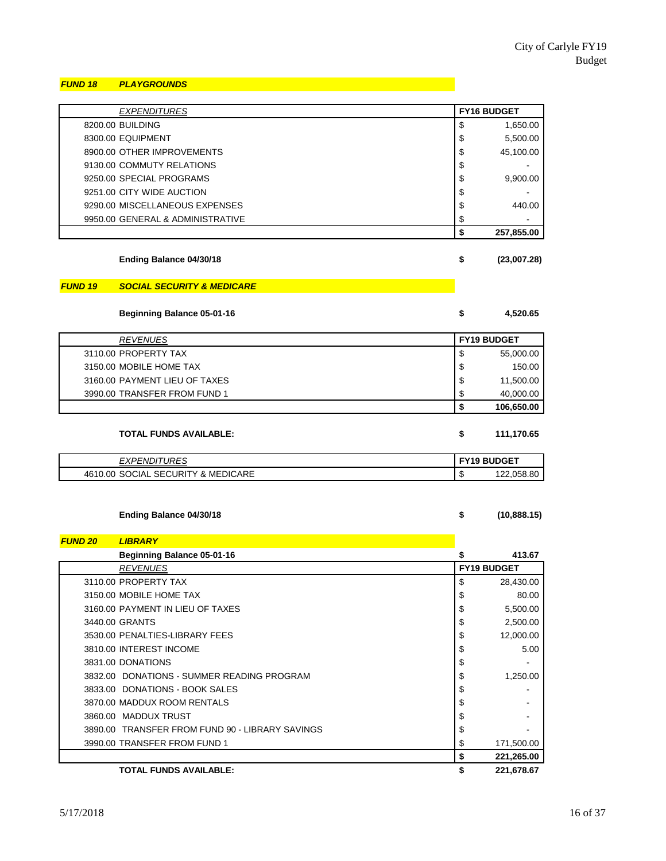#### *FUND 18 PLAYGROUNDS*

| <b>EXPENDITURES</b>              | <b>FY16 BUDGET</b> |
|----------------------------------|--------------------|
| 8200.00 BUILDING                 | \$<br>1,650.00     |
| 8300.00 EQUIPMENT                | \$<br>5,500.00     |
| 8900.00 OTHER IMPROVEMENTS       | \$<br>45,100.00    |
| 9130.00 COMMUTY RELATIONS        | \$                 |
| 9250.00 SPECIAL PROGRAMS         | \$<br>9,900.00     |
| 9251.00 CITY WIDE AUCTION        | \$                 |
| 9290.00 MISCELLANEOUS EXPENSES   | \$<br>440.00       |
| 9950.00 GENERAL & ADMINISTRATIVE | \$                 |
|                                  | \$<br>257,855.00   |

**Ending Balance 04/30/18 \$ (23,007.28)**

#### *FUND 19 SOCIAL SECURITY & MEDICARE*

**Beginning Balance 05-01-16 \$ 4,520.65**

| <b>REVENUES</b>               | <b>FY19 BUDGET</b> |            |
|-------------------------------|--------------------|------------|
| 3110.00 PROPERTY TAX          | \$                 | 55,000.00  |
| 3150.00 MOBILE HOME TAX       | \$                 | 150.00     |
| 3160.00 PAYMENT LIEU OF TAXES | \$                 | 11,500.00  |
| 3990.00 TRANSFER FROM FUND 1  | \$                 | 40,000.00  |
|                               |                    | 106,650.00 |

| <b>TOTAL FUNDS AVAILABLE:</b> |  | 111.170.65 |
|-------------------------------|--|------------|
|-------------------------------|--|------------|

| <b>URES</b><br><i><b>{PENDI1</b></i><br>. ∧ | <b>FY19 BUDGET</b> |                |
|---------------------------------------------|--------------------|----------------|
| 4610.00 SOCIAL SECURITY & MEDICARE          | O<br>J             | .058.80<br>ר ה |

#### **Ending Balance 04/30/18 \$ (10,888.15)**

*FUND 20 LIBRARY* **Beginning Balance 05-01-16 \$ 413.67** *REVENUES* **FY19 BUDGET** 3110.00 PROPERTY TAX  $\begin{array}{ccc} 3110.00 & \text{PROOF} & 28,430.00 \\ \end{array}$ 3150.00 MOBILE HOME TAX  $\begin{array}{ccc} 3150.00 & 80.00 \\ \end{array}$ 3160.00 PAYMENT IN LIEU OF TAXES \$ 5,500.00 3440.00 GRANTS \$ 2,500.00 3530.00 PENALTIES-LIBRARY FEES \$ 12,000.00 3810.00 INTEREST INCOME 5.00  $3831.00$  DONATIONS  $\qquad \qquad$ 3832.00 DONATIONS - SUMMER READING PROGRAM  $\begin{array}{ccc} 3832.00 & 5 \end{array}$  1,250.00 3833.00 DONATIONS - BOOK SALES \$ - 3870.00 MADDUX ROOM RENTALS SERVICES AND RESERVE AND RESERVE AND RESERVE AND RESERVE AND RESERVE AND RESERVE A 3860.00 MADDUX TRUST \$ - 3890.00 TRANSFER FROM FUND 90 - LIBRARY SAVINGS 5 3990.00 TRANSFER FROM FUND 1 **\$** 171,500.00 **\$ 221,265.00 TOTAL FUNDS AVAILABLE: \$ 221,678.67**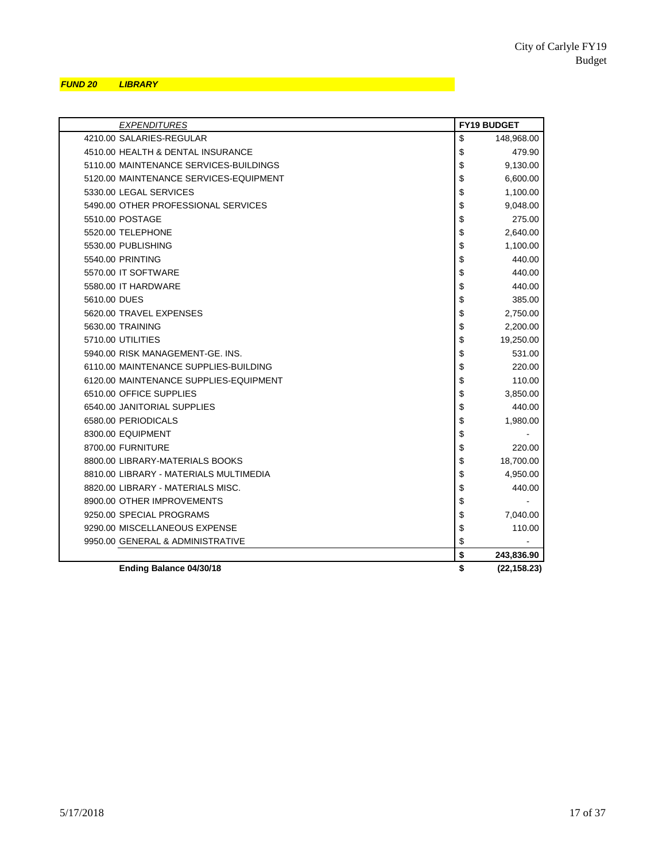#### *FUND 20 LIBRARY*

| <b>EXPENDITURES</b>                    | <b>FY19 BUDGET</b> |
|----------------------------------------|--------------------|
| 4210.00 SALARIES-REGULAR               | \$<br>148,968.00   |
| 4510.00 HEALTH & DENTAL INSURANCE      | \$<br>479.90       |
| 5110.00 MAINTENANCE SERVICES-BUILDINGS | \$<br>9,130.00     |
| 5120.00 MAINTENANCE SERVICES-EQUIPMENT | \$<br>6,600.00     |
| 5330.00 LEGAL SERVICES                 | \$<br>1,100.00     |
| 5490.00 OTHER PROFESSIONAL SERVICES    | \$<br>9,048.00     |
| 5510.00 POSTAGE                        | \$<br>275.00       |
| 5520.00 TELEPHONE                      | \$<br>2,640.00     |
| 5530.00 PUBLISHING                     | \$<br>1,100.00     |
| 5540.00 PRINTING                       | \$<br>440.00       |
| 5570.00 IT SOFTWARE                    | \$<br>440.00       |
| 5580.00 IT HARDWARE                    | \$<br>440.00       |
| 5610.00 DUES                           | \$<br>385.00       |
| 5620.00 TRAVEL EXPENSES                | \$<br>2,750.00     |
| 5630.00 TRAINING                       | \$<br>2,200.00     |
| 5710.00 UTILITIES                      | \$<br>19,250.00    |
| 5940.00 RISK MANAGEMENT-GE. INS.       | \$<br>531.00       |
| 6110.00 MAINTENANCE SUPPLIES-BUILDING  | \$<br>220.00       |
| 6120.00 MAINTENANCE SUPPLIES-EQUIPMENT | \$<br>110.00       |
| 6510.00 OFFICE SUPPLIES                | \$<br>3,850.00     |
| 6540.00 JANITORIAL SUPPLIES            | \$<br>440.00       |
| 6580.00 PERIODICALS                    | \$<br>1,980.00     |
| 8300.00 EQUIPMENT                      | \$                 |
| 8700.00 FURNITURE                      | \$<br>220.00       |
| 8800.00 LIBRARY-MATERIALS BOOKS        | \$<br>18,700.00    |
| 8810.00 LIBRARY - MATERIALS MULTIMEDIA | \$<br>4,950.00     |
| 8820.00 LIBRARY - MATERIALS MISC.      | \$<br>440.00       |
| 8900.00 OTHER IMPROVEMENTS             | \$                 |
| 9250.00 SPECIAL PROGRAMS               | \$<br>7,040.00     |
| 9290.00 MISCELLANEOUS EXPENSE          | \$<br>110.00       |
| 9950.00 GENERAL & ADMINISTRATIVE       | \$                 |
|                                        | \$<br>243,836.90   |
| Ending Balance 04/30/18                | \$<br>(22, 158.23) |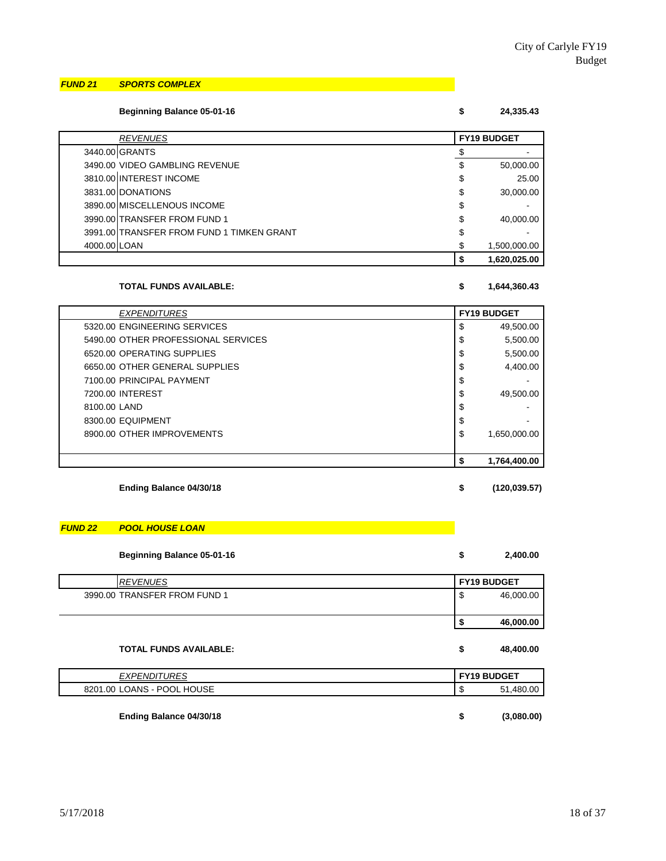#### *FUND 21 SPORTS COMPLEX*

#### **Beginning Balance 05-01-16 \$ 24,335.43**

| <b>REVENUES</b>                           | <b>FY19 BUDGET</b> |  |
|-------------------------------------------|--------------------|--|
| 3440.00 GRANTS                            |                    |  |
| 3490.00 VIDEO GAMBLING REVENUE            | \$<br>50,000.00    |  |
| 3810.00 INTEREST INCOME                   | \$<br>25.00        |  |
| 3831.00 DONATIONS                         | \$<br>30,000.00    |  |
| 3890.00 MISCELLENOUS INCOME               | \$                 |  |
| 3990.00 TRANSFER FROM FUND 1              | \$<br>40,000.00    |  |
| 3991.00 TRANSFER FROM FUND 1 TIMKEN GRANT | \$                 |  |
| 4000.00 LOAN                              | 1,500,000.00       |  |
|                                           | 1,620,025.00       |  |

#### **TOTAL FUNDS AVAILABLE: \$ 1,644,360.43**

| <b>EXPENDITURES</b>                 | <b>FY19 BUDGET</b> |
|-------------------------------------|--------------------|
| 5320.00 ENGINEERING SERVICES        | \$<br>49,500.00    |
| 5490.00 OTHER PROFESSIONAL SERVICES | \$<br>5,500.00     |
| 6520.00 OPERATING SUPPLIES          | \$<br>5,500.00     |
| 6650.00 OTHER GENERAL SUPPLIES      | \$<br>4,400.00     |
| 7100.00 PRINCIPAL PAYMENT           | \$                 |
| 7200.00 INTEREST                    | \$<br>49,500.00    |
| 8100.00 LAND                        | \$                 |
| 8300.00 EQUIPMENT                   | \$                 |
| 8900.00 OTHER IMPROVEMENTS          | \$<br>1,650,000.00 |
|                                     |                    |
|                                     | 1,764,400.00<br>\$ |

#### **Ending Balance 04/30/18 \$ (120,039.57)**

# *FUND 22 POOL HOUSE LOAN*

#### **Beginning Balance 05-01-16 \$ 2,400.00**

| <b>REVENUES</b>              | <b>FY19 BUDGET</b>             |
|------------------------------|--------------------------------|
| 3990.00 TRANSFER FROM FUND 1 | 46,000.00<br>$\mathbf{r}$<br>จ |
|                              | 46,000.00                      |

#### **TOTAL FUNDS AVAILABLE: \$ 48,400.00**

| <i><b>EXPENDITURES</b></i> | <b>FY19 BUDGET</b> |  |  |
|----------------------------|--------------------|--|--|
| 8201.00 LOANS - POOL HOUSE | 51.480.00<br>-su   |  |  |
|                            |                    |  |  |
| Ending Balance 04/30/18    | (3,080.00)         |  |  |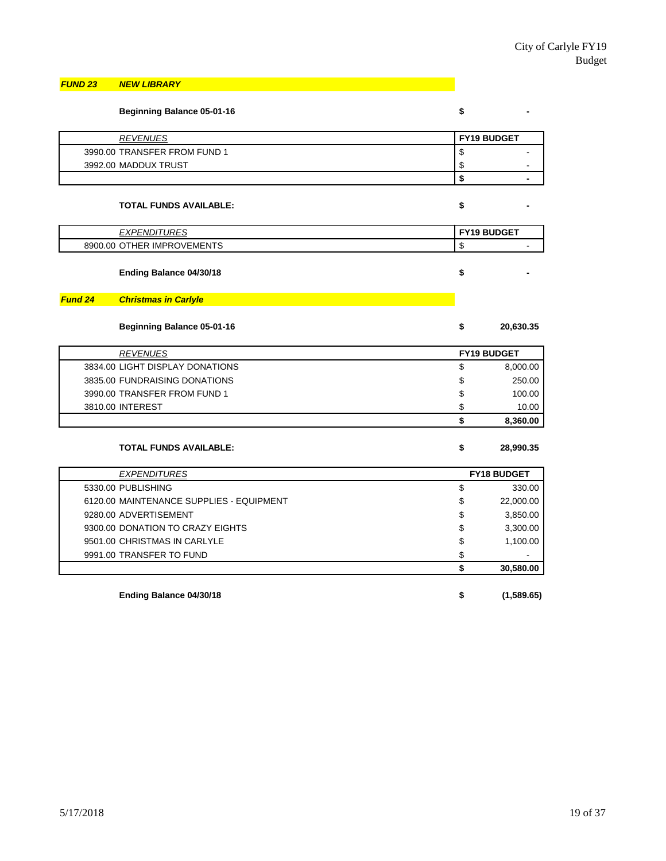#### *FUND 23 NEW LIBRARY*

|                | <b>Beginning Balance 05-01-16</b>        | \$                 |  |
|----------------|------------------------------------------|--------------------|--|
|                | <b>REVENUES</b>                          | FY19 BUDGET        |  |
|                | 3990.00 TRANSFER FROM FUND 1             | \$                 |  |
|                | 3992.00 MADDUX TRUST                     | \$                 |  |
|                |                                          | \$                 |  |
|                | <b>TOTAL FUNDS AVAILABLE:</b>            | \$                 |  |
|                | <b>EXPENDITURES</b>                      | <b>FY19 BUDGET</b> |  |
|                | 8900.00 OTHER IMPROVEMENTS               | \$                 |  |
|                | Ending Balance 04/30/18                  | \$                 |  |
| <b>Fund 24</b> | <b>Christmas in Carlyle</b>              |                    |  |
|                | <b>Beginning Balance 05-01-16</b>        | \$<br>20,630.35    |  |
|                | <b>REVENUES</b>                          | <b>FY19 BUDGET</b> |  |
|                | 3834.00 LIGHT DISPLAY DONATIONS          | \$<br>8,000.00     |  |
|                | 3835.00 FUNDRAISING DONATIONS            | \$<br>250.00       |  |
|                | 3990.00 TRANSFER FROM FUND 1             | \$<br>100.00       |  |
|                | 3810.00 INTEREST                         | \$<br>10.00        |  |
|                |                                          | \$<br>8,360.00     |  |
|                | <b>TOTAL FUNDS AVAILABLE:</b>            | \$<br>28,990.35    |  |
|                | <b>EXPENDITURES</b>                      | <b>FY18 BUDGET</b> |  |
|                | 5330.00 PUBLISHING                       | \$<br>330.00       |  |
|                | 6120.00 MAINTENANCE SUPPLIES - EQUIPMENT | \$<br>22,000.00    |  |
|                | 9280.00 ADVERTISEMENT                    | \$<br>3,850.00     |  |
|                | 9300.00 DONATION TO CRAZY EIGHTS         | \$<br>3,300.00     |  |
|                | 9501.00 CHRISTMAS IN CARLYLE             | \$<br>1,100.00     |  |
|                | 9991.00 TRANSFER TO FUND                 | \$                 |  |
|                |                                          | \$<br>30,580.00    |  |
|                | Ending Balance 04/30/18                  | \$<br>(1,589.65)   |  |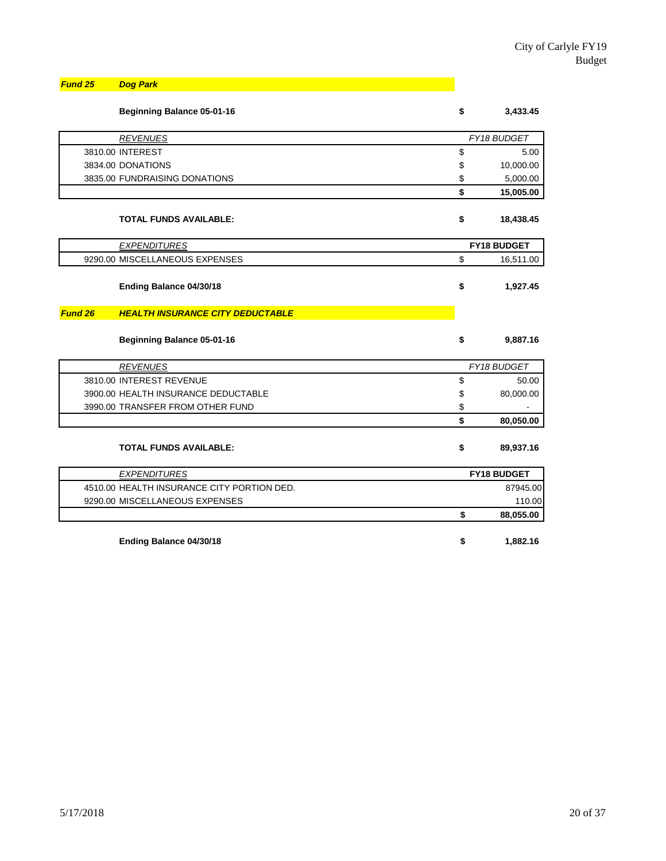| <b>Fund 25</b> Dog Park |
|-------------------------|
|                         |

|         | Beginning Balance 05-01-16                 | \$<br>3,433.45     |  |
|---------|--------------------------------------------|--------------------|--|
|         | <b>REVENUES</b>                            | FY18 BUDGET        |  |
|         | 3810.00 INTEREST                           | \$<br>5.00         |  |
|         | 3834.00 DONATIONS                          | \$<br>10,000.00    |  |
|         | 3835.00 FUNDRAISING DONATIONS              | \$<br>5,000.00     |  |
|         |                                            | \$<br>15,005.00    |  |
|         | <b>TOTAL FUNDS AVAILABLE:</b>              | \$<br>18,438.45    |  |
|         | <b>EXPENDITURES</b>                        | <b>FY18 BUDGET</b> |  |
|         | 9290.00 MISCELLANEOUS EXPENSES             | \$<br>16,511.00    |  |
|         | Ending Balance 04/30/18                    | \$<br>1,927.45     |  |
| Fund 26 | <b>HEALTH INSURANCE CITY DEDUCTABLE</b>    |                    |  |
|         | <b>Beginning Balance 05-01-16</b>          | \$<br>9,887.16     |  |
|         | <b>REVENUES</b>                            | FY18 BUDGET        |  |
|         | 3810.00 INTEREST REVENUE                   | \$<br>50.00        |  |
|         | 3900.00 HEALTH INSURANCE DEDUCTABLE        | \$<br>80,000.00    |  |
|         | 3990.00 TRANSFER FROM OTHER FUND           | \$                 |  |
|         |                                            | \$<br>80,050.00    |  |
|         | <b>TOTAL FUNDS AVAILABLE:</b>              | \$<br>89,937.16    |  |
|         | <b>EXPENDITURES</b>                        | FY18 BUDGET        |  |
|         | 4510.00 HEALTH INSURANCE CITY PORTION DED. | 87945.00           |  |
|         | 9290.00 MISCELLANEOUS EXPENSES             | 110.00             |  |
|         |                                            | \$<br>88,055.00    |  |
|         | Ending Balance 04/30/18                    | \$<br>1,882.16     |  |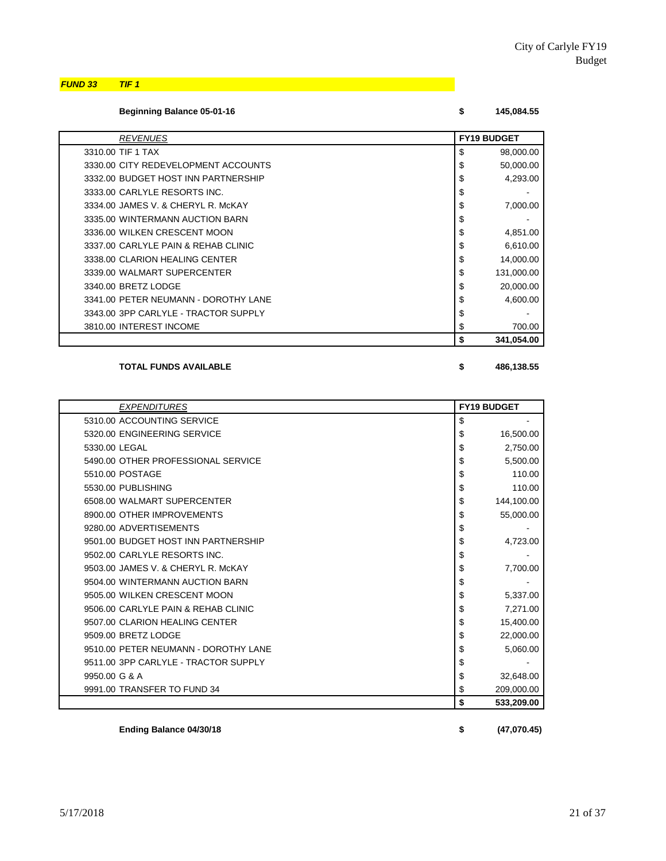*FUND 33 TIF 1*

| Beginning Balance 05-01-16 |  | 145,084.55 |
|----------------------------|--|------------|
|----------------------------|--|------------|

| <b>REVENUES</b>                      | <b>FY19 BUDGET</b> |            |
|--------------------------------------|--------------------|------------|
| 3310.00 TIF 1 TAX                    | \$                 | 98,000.00  |
| 3330.00 CITY REDEVELOPMENT ACCOUNTS  | \$                 | 50,000.00  |
| 3332.00 BUDGET HOST INN PARTNERSHIP  | \$                 | 4,293.00   |
| 3333.00 CARLYLE RESORTS INC.         | \$                 |            |
| 3334.00 JAMES V. & CHERYL R. McKAY   | \$                 | 7,000.00   |
| 3335.00 WINTERMANN AUCTION BARN      | \$                 |            |
| 3336.00 WILKEN CRESCENT MOON         | \$                 | 4,851.00   |
| 3337.00 CARLYLE PAIN & REHAB CLINIC  | \$                 | 6,610.00   |
| 3338.00 CLARION HEALING CENTER       | \$                 | 14,000.00  |
| 3339.00 WALMART SUPERCENTER          | \$                 | 131,000.00 |
| 3340.00 BRETZ LODGE                  | \$                 | 20,000.00  |
| 3341.00 PETER NEUMANN - DOROTHY LANE | \$                 | 4,600.00   |
| 3343.00 3PP CARLYLE - TRACTOR SUPPLY | \$                 |            |
| 3810.00 INTEREST INCOME              | \$                 | 700.00     |
|                                      | \$                 | 341,054.00 |

**TOTAL FUNDS AVAILABLE \$ 486,138.55**

| <b>EXPENDITURES</b>                  | <b>FY19 BUDGET</b> |
|--------------------------------------|--------------------|
| 5310.00 ACCOUNTING SERVICE           | \$                 |
| 5320.00 ENGINEERING SERVICE          | \$<br>16,500.00    |
| 5330.00 LEGAL                        | \$<br>2,750.00     |
| 5490.00 OTHER PROFESSIONAL SERVICE   | \$<br>5,500.00     |
| 5510.00 POSTAGE                      | \$<br>110.00       |
| 5530.00 PUBLISHING                   | \$<br>110.00       |
| 6508.00 WALMART SUPERCENTER          | \$<br>144,100.00   |
| 8900.00 OTHER IMPROVEMENTS           | \$<br>55,000.00    |
| 9280.00 ADVERTISEMENTS               | \$                 |
| 9501.00 BUDGET HOST INN PARTNERSHIP  | \$<br>4,723.00     |
| 9502.00 CARLYLE RESORTS INC.         | \$                 |
| 9503.00 JAMES V. & CHERYL R. McKAY   | \$<br>7,700.00     |
| 9504.00 WINTERMANN AUCTION BARN      | \$                 |
| 9505.00 WILKEN CRESCENT MOON         | \$<br>5,337.00     |
| 9506.00 CARLYLE PAIN & REHAB CLINIC  | \$<br>7,271.00     |
| 9507.00 CLARION HEALING CENTER       | \$<br>15,400.00    |
| 9509.00 BRETZ LODGE                  | \$<br>22,000.00    |
| 9510.00 PETER NEUMANN - DOROTHY LANE | \$<br>5,060.00     |
| 9511.00 3PP CARLYLE - TRACTOR SUPPLY | \$                 |
| 9950.00 G & A                        | \$<br>32,648.00    |
| 9991.00 TRANSFER TO FUND 34          | \$<br>209,000.00   |
|                                      | \$<br>533,209.00   |

**Ending Balance 04/30/18 \$ (47,070.45)**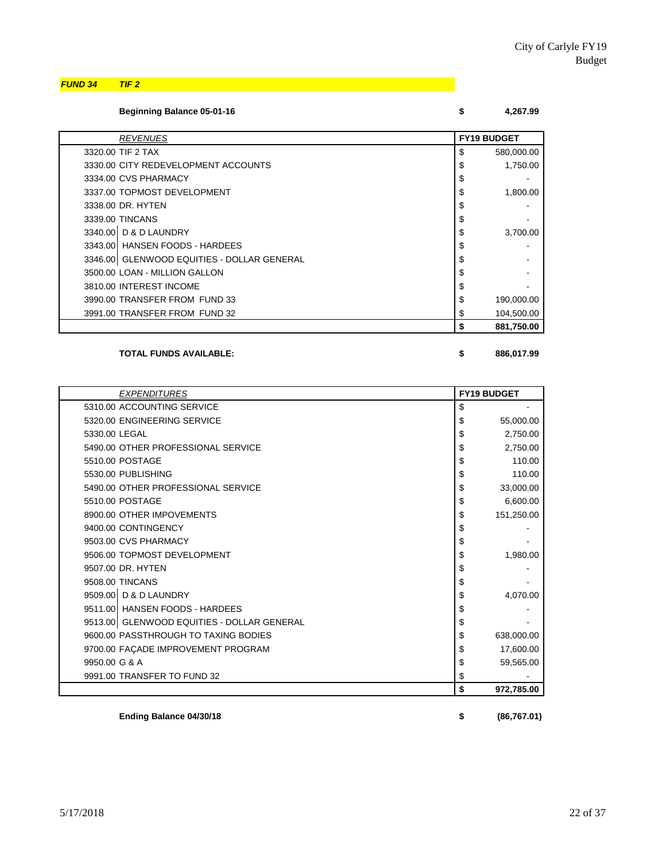*FUND 34 TIF 2*

| <b>Beginning Balance 05-01-16</b> |  | 4,267.99 |
|-----------------------------------|--|----------|
|-----------------------------------|--|----------|

| <b>REVENUES</b>                            | <b>FY19 BUDGET</b> |
|--------------------------------------------|--------------------|
| 3320.00 TIF 2 TAX                          | \$<br>580,000.00   |
| 3330.00 CITY REDEVELOPMENT ACCOUNTS        | \$<br>1,750.00     |
| 3334.00 CVS PHARMACY                       | \$                 |
| 3337.00 TOPMOST DEVELOPMENT                | \$<br>1,800.00     |
| 3338.00 DR. HYTEN                          | \$                 |
| 3339.00 TINCANS                            | \$                 |
| 3340.00 D & D LAUNDRY                      | \$<br>3,700.00     |
| 3343.00 HANSEN FOODS - HARDEES             | \$                 |
| 3346.00 GLENWOOD EQUITIES - DOLLAR GENERAL | \$                 |
| 3500.00 LOAN - MILLION GALLON              | \$                 |
| 3810.00 INTEREST INCOME                    | \$                 |
| 3990.00 TRANSFER FROM FUND 33              | \$<br>190,000.00   |
| 3991.00 TRANSFER FROM FUND 32              | \$<br>104,500.00   |
|                                            | \$<br>881,750.00   |

#### **TOTAL FUNDS AVAILABLE: \$ 886,017.99**

| <b>EXPENDITURES</b>                        |    | <b>FY19 BUDGET</b> |
|--------------------------------------------|----|--------------------|
| 5310.00 ACCOUNTING SERVICE                 | \$ |                    |
| 5320.00 ENGINEERING SERVICE                | S  | 55,000.00          |
| 5330.00 LEGAL                              | \$ | 2,750.00           |
| 5490.00 OTHER PROFESSIONAL SERVICE         | \$ | 2,750.00           |
| 5510.00 POSTAGE                            | \$ | 110.00             |
| 5530.00 PUBLISHING                         | \$ | 110.00             |
| 5490.00 OTHER PROFESSIONAL SERVICE         | \$ | 33,000.00          |
| 5510.00 POSTAGE                            | \$ | 6,600.00           |
| 8900.00 OTHER IMPOVEMENTS                  | \$ | 151,250.00         |
| 9400.00 CONTINGENCY                        | \$ |                    |
| 9503.00 CVS PHARMACY                       | \$ |                    |
| 9506.00 TOPMOST DEVELOPMENT                | \$ | 1,980.00           |
| 9507.00 DR. HYTEN                          | \$ |                    |
| 9508.00 TINCANS                            | \$ |                    |
| 9509.00 D & D LAUNDRY                      | \$ | 4,070.00           |
| 9511.00 HANSEN FOODS - HARDEES             | \$ |                    |
| 9513.00 GLENWOOD EQUITIES - DOLLAR GENERAL | \$ |                    |
| 9600.00 PASSTHROUGH TO TAXING BODIES       | \$ | 638,000.00         |
| 9700.00 FAÇADE IMPROVEMENT PROGRAM         | S  | 17,600.00          |
| 9950.00 G & A                              | \$ | 59,565.00          |
| 9991.00 TRANSFER TO FUND 32                | \$ |                    |
|                                            | \$ | 972,785.00         |

**Ending Balance 04/30/18 \$ (86,767.01)**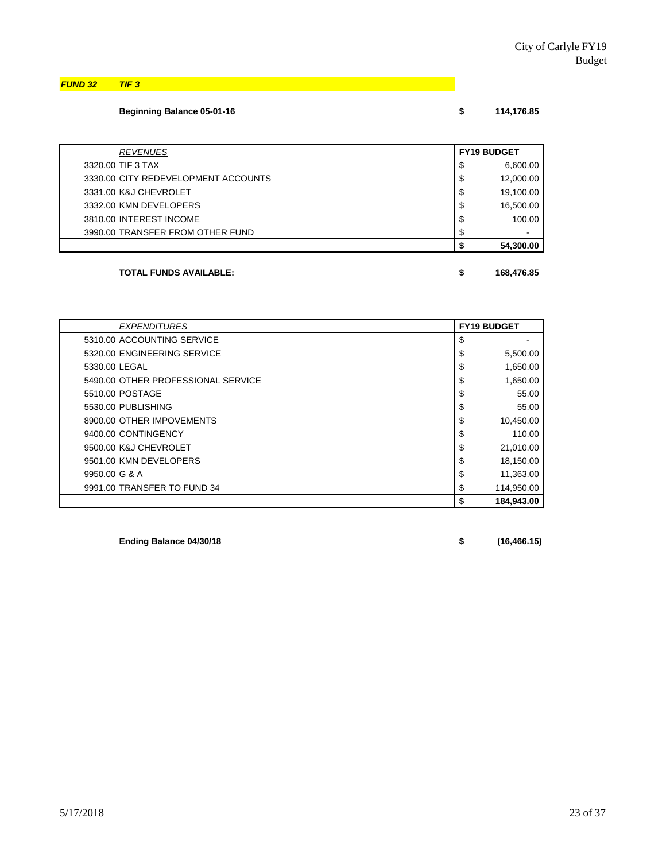*FUND 32 TIF 3*

# **Beginning Balance 05-01-16 \$** 114,1

|  | 114,176.85 |  |  |  |
|--|------------|--|--|--|
|  |            |  |  |  |

|    | <b>FY19 BUDGET</b> |
|----|--------------------|
| \$ | 6,600.00           |
| \$ | 12,000.00          |
| \$ | 19,100.00          |
| \$ | 16,500.00          |
| \$ | 100.00             |
| S  |                    |
|    | 54,300.00          |
|    |                    |

### **TOTAL FUNDS AVAILABLE: \$ 168,476.85**

| <b>EXPENDITURES</b>                | <b>FY19 BUDGET</b> |
|------------------------------------|--------------------|
| 5310.00 ACCOUNTING SERVICE         | \$                 |
| 5320.00 ENGINEERING SERVICE        | \$<br>5,500.00     |
| 5330.00 LEGAL                      | \$<br>1,650.00     |
| 5490.00 OTHER PROFESSIONAL SERVICE | \$<br>1,650.00     |
| 5510.00 POSTAGE                    | \$<br>55.00        |
| 5530.00 PUBLISHING                 | \$<br>55.00        |
| 8900.00 OTHER IMPOVEMENTS          | \$<br>10,450.00    |
| 9400.00 CONTINGENCY                | 110.00<br>\$       |
| 9500.00 K&J CHEVROLET              | \$<br>21,010.00    |
| 9501.00 KMN DEVELOPERS             | \$<br>18,150.00    |
| 9950.00 G & A                      | \$<br>11,363.00    |
| 9991.00 TRANSFER TO FUND 34        | 114,950.00<br>\$   |
|                                    | 184.943.00<br>\$   |

**Ending Balance 04/30/18 \$ (16,466.15)**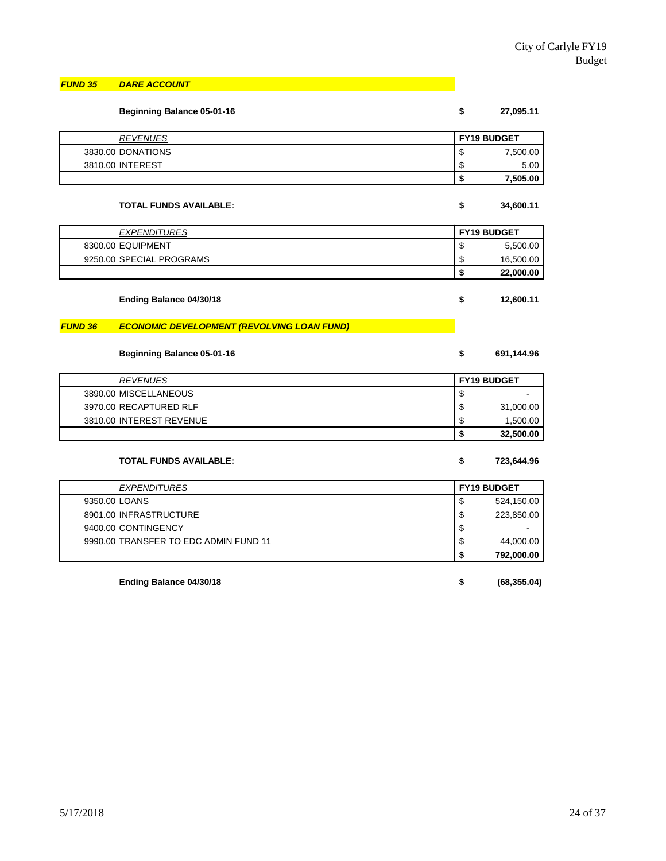#### *FUND 35 DARE ACCOUNT*

|                | <b>Beginning Balance 05-01-16</b>                 | \$<br>27,095.11    |  |
|----------------|---------------------------------------------------|--------------------|--|
|                | <b>REVENUES</b>                                   | FY19 BUDGET        |  |
|                | 3830.00 DONATIONS                                 | \$<br>7,500.00     |  |
|                | 3810.00 INTEREST                                  | \$<br>5.00         |  |
|                |                                                   | \$<br>7,505.00     |  |
|                | TOTAL FUNDS AVAILABLE:                            | \$<br>34,600.11    |  |
|                | <b>EXPENDITURES</b>                               | FY19 BUDGET        |  |
|                | 8300.00 EQUIPMENT                                 | \$<br>5,500.00     |  |
|                | 9250.00 SPECIAL PROGRAMS                          | \$<br>16,500.00    |  |
|                |                                                   | \$<br>22,000.00    |  |
|                | Ending Balance 04/30/18                           | \$<br>12,600.11    |  |
| <b>FUND 36</b> | <b>ECONOMIC DEVELOPMENT (REVOLVING LOAN FUND)</b> |                    |  |
|                | <b>Beginning Balance 05-01-16</b>                 | \$<br>691,144.96   |  |
|                | <b>REVENUES</b>                                   | FY19 BUDGET        |  |
|                | 3890.00 MISCELLANEOUS                             | \$                 |  |
|                | 3970.00 RECAPTURED RLF                            | \$<br>31,000.00    |  |
|                | 3810.00 INTEREST REVENUE                          | \$<br>1,500.00     |  |
|                |                                                   | \$<br>32,500.00    |  |
|                | <b>TOTAL FUNDS AVAILABLE:</b>                     | \$<br>723,644.96   |  |
|                | <b>EXPENDITURES</b>                               | FY19 BUDGET        |  |
| 9350.00 LOANS  |                                                   | \$<br>524,150.00   |  |
|                | 8901.00 INFRASTRUCTURE                            | \$<br>223,850.00   |  |
|                | 9400.00 CONTINGENCY                               | \$                 |  |
|                | 9990.00 TRANSFER TO EDC ADMIN FUND 11             | \$<br>44,000.00    |  |
|                |                                                   | \$<br>792,000.00   |  |
|                | Ending Balance 04/30/18                           | \$<br>(68, 355.04) |  |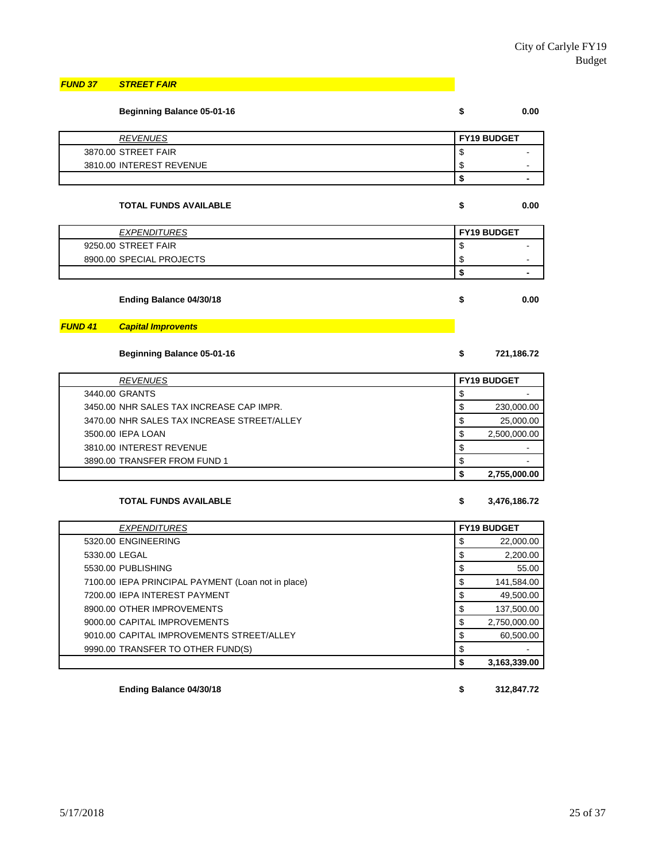| <b>FUND 37</b> | <b>STREET FAIR</b> |  |
|----------------|--------------------|--|

|                          | <b>Beginning Balance 05-01-16</b> | \$<br>0.00                |
|--------------------------|-----------------------------------|---------------------------|
| <b>REVENUES</b>          |                                   | FY19 BUDGET               |
| 3870.00 STREET FAIR      |                                   | \$                        |
| 3810.00 INTEREST REVENUE |                                   | \$                        |
|                          |                                   | \$                        |
|                          | <b>TOTAL FUNDS AVAILABLE</b>      | \$<br>0.00<br>FY19 BUDGET |
| 9250.00 STREET FAIR      | <b>EXPENDITURES</b>               | \$                        |
| 8900.00 SPECIAL PROJECTS |                                   | \$                        |
|                          |                                   | \$                        |
|                          | Ending Balance 04/30/18           | \$<br>0.00                |
| <b>FUND 41</b>           | <b>Capital Improvents</b>         |                           |

**Beginning Balance 05-01-16 \$ 721,186.72**

| <b>REVENUES</b>                             | <b>FY19 BUDGET</b> |                          |
|---------------------------------------------|--------------------|--------------------------|
| 3440.00 GRANTS                              |                    | $\overline{\phantom{0}}$ |
| 3450.00 NHR SALES TAX INCREASE CAP IMPR.    |                    | 230,000.00               |
| 3470.00 NHR SALES TAX INCREASE STREET/ALLEY |                    | 25,000.00                |
| 3500.00 IEPA LOAN                           |                    | 2,500,000.00             |
| 3810.00 INTEREST REVENUE                    | S                  | $\overline{\phantom{0}}$ |
| 3890.00 TRANSFER FROM FUND 1                |                    | $\overline{\phantom{0}}$ |
|                                             |                    | 2,755,000.00             |

#### **TOTAL FUNDS AVAILABLE \$ 3,476,186.72**

| <b>EXPENDITURES</b>                                | <b>FY19 BUDGET</b> |
|----------------------------------------------------|--------------------|
| 5320.00 ENGINEERING                                | S<br>22,000.00     |
| 5330.00 LEGAL                                      | \$<br>2.200.00     |
| 5530.00 PUBLISHING                                 | \$<br>55.00        |
| 7100.00 IEPA PRINCIPAL PAYMENT (Loan not in place) | 141,584.00         |
| 7200.00 IEPA INTEREST PAYMENT                      | 49,500.00          |
| 8900.00 OTHER IMPROVEMENTS                         | 137.500.00         |
| 9000.00 CAPITAL IMPROVEMENTS                       | S<br>2,750,000.00  |
| 9010.00 CAPITAL IMPROVEMENTS STREET/ALLEY          | 60,500.00          |
| 9990.00 TRANSFER TO OTHER FUND(S)                  | \$                 |
|                                                    | 3.163.339.00       |

**Ending Balance 04/30/18 \$ 312,847.72**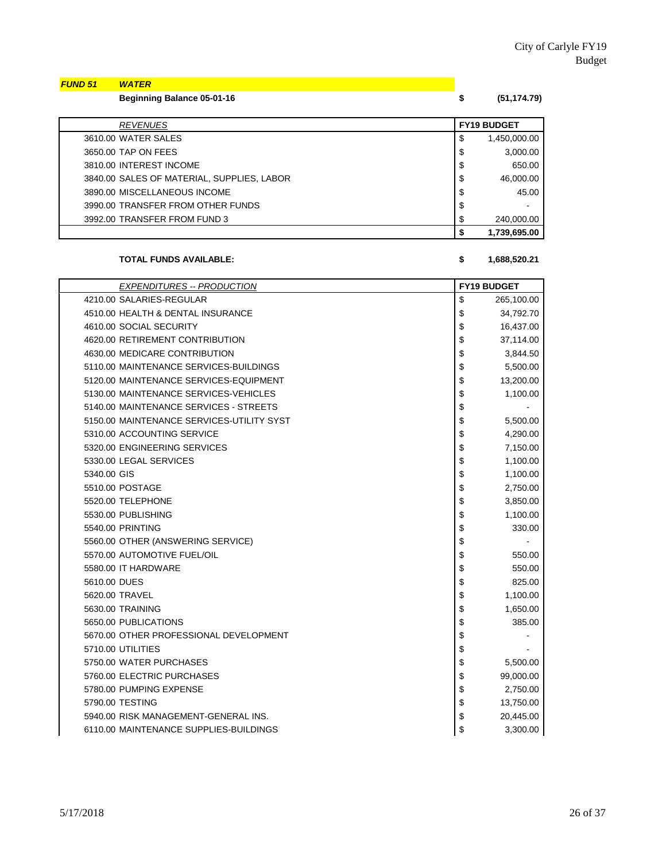| <b>FUND 51 WATER</b> |                            |             |
|----------------------|----------------------------|-------------|
|                      | Beginning Balance 05-01-16 | (51,174.79) |

| <b>REVENUES</b>                            | <b>FY19 BUDGET</b> |
|--------------------------------------------|--------------------|
| 3610.00 WATER SALES                        | \$<br>1,450,000.00 |
| 3650.00 TAP ON FEES                        | \$<br>3,000.00     |
| 3810.00 INTEREST INCOME                    | \$<br>650.00       |
| 3840.00 SALES OF MATERIAL. SUPPLIES. LABOR | \$<br>46.000.00    |
| 3890.00 MISCELLANEOUS INCOME               | \$<br>45.00        |
| 3990.00 TRANSFER FROM OTHER FUNDS          | \$                 |
| 3992.00 TRANSFER FROM FUND 3               | \$<br>240,000.00   |
|                                            | 1,739,695.00       |

#### **TOTAL FUNDS AVAILABLE: \$ 1,688,520.21**

### *EXPENDITURES -- PRODUCTION* **FY19 BUDGET** 4210.00 SALARIES-REGULAR \$ 265,100.00 4510.00 HEALTH & DENTAL INSURANCE 8 4.792.70 4610.00 SOCIAL SECURITY 8 16,437.00 4620.00 RETIREMENT CONTRIBUTION  $\begin{array}{ccc} 1 & 37,114.00 \\ 3 & 37,114.00 \end{array}$ 4630.00 MEDICARE CONTRIBUTION **\$** 3,844.50 5110.00 MAINTENANCE SERVICES-BUILDINGS **\$110.00 MAINTENANCE** SERVICES-BUILDINGS 5120.00 MAINTENANCE SERVICES-EQUIPMENT \$ 13,200.00 5130.00 MAINTENANCE SERVICES-VEHICLES **1.100.00 1.100.00 1.100.00** 5140.00 MAINTENANCE SERVICES - STREETS \$ - 5150.00 MAINTENANCE SERVICES-UTILITY SYST **\$** 5,500.00 5310.00 ACCOUNTING SERVICE **1200.00 1200.00 13** 4.290.00 5320.00 ENGINEERING SERVICES **\$1,150.00** \$7,150.00 5330.00 LEGAL SERVICES \$ 1,100.00  $5340.00$  GIS  $3.100.00$ 5510.00 POSTAGE \$ 2,750.00 5520.00 TELEPHONE \$ 3,850.00 5530.00 PUBLISHING \$ 1,100.00 5540.00 PRINTING 330.00 5560.00 OTHER (ANSWERING SERVICE) \$ 5570.00 AUTOMOTIVE FUEL/OIL **1999 12:00 12:00 12:00 12:00 12:00 12:00 13:00 13:00 13:00 14:00 14:00 14:00 14:00 14:00 14:00 14:00 14:00 14:00 14:00 14:00 14:00 14:00 14:00 14:00 14:00 14:00 14:00 14:00 14:00 14:00 14:00 14** 5580.00 IT HARDWARE \$ 550.00 US \$ 550.00 5610.00 DUES 825.00 5620.00 TRAVEL \$ 1,100.00 5630.00 TRAINING \$ 1,650.00 5650.00 PUBLICATIONS 385.00 5670.00 OTHER PROFESSIONAL DEVELOPMENT **\$ 5670.00 OTHER PROFESSIONAL DEVELOPMENT** 5710.00 UTILITIES \$ - 5750.00 WATER PURCHASES 8 5,500 M = 5,500.00 5760.00 ELECTRIC PURCHASES **\$ 99,000.00** \$ 99,000.00 5780.00 PUMPING EXPENSE \$ 2,750.00 5790.00 TESTING \$ 13,750.00 5940.00 RISK MANAGEMENT-GENERAL INS.  $\boxed{\$}$  20.445.00 6110.00 MAINTENANCE SUPPLIES-BUILDINGS  $\begin{array}{ccc} 1 & 3 & 3 & 3 & 3 & 3 & 3 & 3 & 0 & 0 & 0 \\ 8 & 1 & 3 & 3 & 3 & 3 & 3 & 0 & 0 & 0 \\ 9 & 1 & 1 & 1 & 1 & 1 & 1 & 1 \\ 1 & 1 & 1 & 1 & 1 & 1 & 1 \\ 1 & 1 & 1 & 1 & 1 & 1 & 1 \\ 1 & 1 & 1 & 1 & 1 & 1 & 1 \\ 1 & 1 & 1 & 1 & 1 & 1 & 1 \\ 1 &$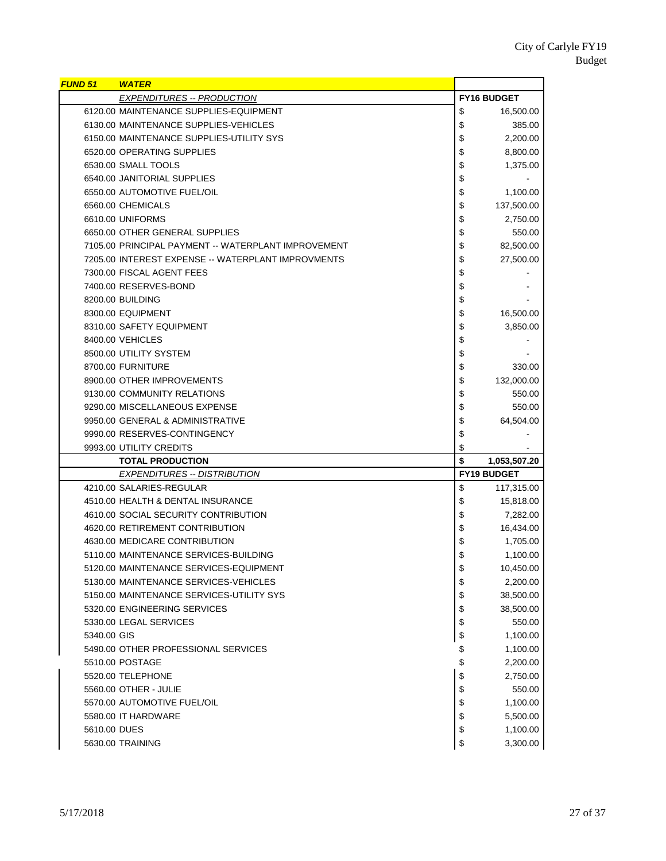| <b>FUND 51</b> | <b>WATER</b>                                        |                    |
|----------------|-----------------------------------------------------|--------------------|
|                | <b>EXPENDITURES -- PRODUCTION</b>                   | <b>FY16 BUDGET</b> |
|                | 6120.00 MAINTENANCE SUPPLIES-EQUIPMENT              | \$<br>16,500.00    |
|                | 6130.00 MAINTENANCE SUPPLIES-VEHICLES               | \$<br>385.00       |
|                | 6150.00 MAINTENANCE SUPPLIES-UTILITY SYS            | \$<br>2,200.00     |
|                | 6520.00 OPERATING SUPPLIES                          | \$<br>8,800.00     |
|                | 6530.00 SMALL TOOLS                                 | \$<br>1,375.00     |
|                | 6540.00 JANITORIAL SUPPLIES                         | \$                 |
|                | 6550.00 AUTOMOTIVE FUEL/OIL                         | \$<br>1,100.00     |
|                | 6560.00 CHEMICALS                                   | \$<br>137,500.00   |
|                | 6610.00 UNIFORMS                                    | \$<br>2,750.00     |
|                | 6650.00 OTHER GENERAL SUPPLIES                      | \$<br>550.00       |
|                | 7105.00 PRINCIPAL PAYMENT -- WATERPLANT IMPROVEMENT | \$<br>82,500.00    |
|                | 7205.00 INTEREST EXPENSE -- WATERPLANT IMPROVMENTS  | \$<br>27,500.00    |
|                | 7300.00 FISCAL AGENT FEES                           | \$                 |
|                | 7400.00 RESERVES-BOND                               | \$                 |
|                | 8200.00 BUILDING                                    | \$                 |
|                | 8300.00 EQUIPMENT                                   | \$<br>16,500.00    |
|                | 8310.00 SAFETY EQUIPMENT                            | \$<br>3,850.00     |
|                | 8400.00 VEHICLES                                    | \$                 |
|                | 8500.00 UTILITY SYSTEM                              | \$                 |
|                | 8700.00 FURNITURE                                   | \$<br>330.00       |
|                | 8900.00 OTHER IMPROVEMENTS                          | \$<br>132,000.00   |
|                | 9130.00 COMMUNITY RELATIONS                         | \$<br>550.00       |
|                | 9290.00 MISCELLANEOUS EXPENSE                       | \$<br>550.00       |
|                | 9950.00 GENERAL & ADMINISTRATIVE                    | \$<br>64,504.00    |
|                | 9990.00 RESERVES-CONTINGENCY                        | \$                 |
|                | 9993.00 UTILITY CREDITS                             | \$                 |
|                | <b>TOTAL PRODUCTION</b>                             | \$<br>1,053,507.20 |
|                | <b>EXPENDITURES -- DISTRIBUTION</b>                 | <b>FY19 BUDGET</b> |
|                | 4210.00 SALARIES-REGULAR                            | \$<br>117,315.00   |
|                | 4510.00 HEALTH & DENTAL INSURANCE                   | \$<br>15,818.00    |
|                | 4610.00 SOCIAL SECURITY CONTRIBUTION                | \$<br>7,282.00     |
|                | 4620.00 RETIREMENT CONTRIBUTION                     | \$<br>16,434.00    |
|                | 4630.00 MEDICARE CONTRIBUTION                       | \$<br>1,705.00     |
|                | 5110.00 MAINTENANCE SERVICES-BUILDING               | \$<br>1,100.00     |
|                | 5120.00 MAINTENANCE SERVICES-EQUIPMENT              | \$<br>10,450.00    |
|                | 5130.00 MAINTENANCE SERVICES-VEHICLES               | \$<br>2,200.00     |
|                | 5150.00 MAINTENANCE SERVICES-UTILITY SYS            | \$<br>38,500.00    |
|                | 5320.00 ENGINEERING SERVICES                        | \$<br>38,500.00    |
|                | 5330.00 LEGAL SERVICES                              | \$<br>550.00       |
| 5340.00 GIS    |                                                     | \$<br>1,100.00     |
|                | 5490.00 OTHER PROFESSIONAL SERVICES                 | \$<br>1,100.00     |
|                | 5510.00 POSTAGE                                     | \$<br>2,200.00     |
|                | 5520.00 TELEPHONE                                   | \$<br>2,750.00     |
|                | 5560.00 OTHER - JULIE                               | \$<br>550.00       |
|                | 5570.00 AUTOMOTIVE FUEL/OIL                         | \$<br>1,100.00     |
|                | 5580.00 IT HARDWARE                                 | \$<br>5,500.00     |
| 5610.00 DUES   |                                                     | \$<br>1,100.00     |
|                | 5630.00 TRAINING                                    | \$<br>3,300.00     |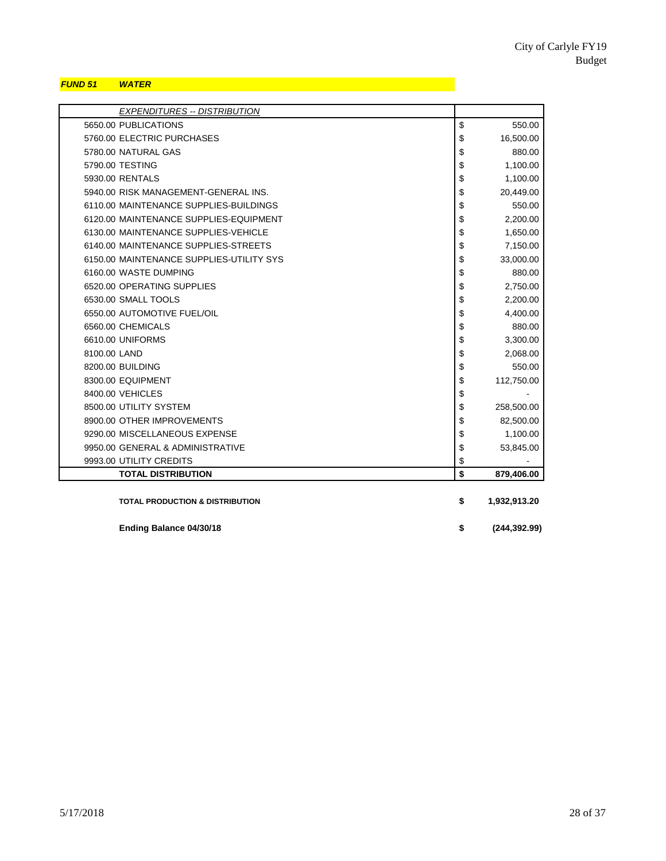### *FUND 51 WATER*

| <b>EXPENDITURES -- DISTRIBUTION</b>        |                     |
|--------------------------------------------|---------------------|
| 5650.00 PUBLICATIONS                       | \$<br>550.00        |
| 5760.00 ELECTRIC PURCHASES                 | \$<br>16,500.00     |
| 5780.00 NATURAL GAS                        | \$<br>880.00        |
| 5790.00 TESTING                            | \$<br>1,100.00      |
| 5930.00 RENTALS                            | \$<br>1,100.00      |
| 5940.00 RISK MANAGEMENT-GENERAL INS.       | \$<br>20,449.00     |
| 6110.00 MAINTENANCE SUPPLIES-BUILDINGS     | \$<br>550.00        |
| 6120.00 MAINTENANCE SUPPLIES-EQUIPMENT     | \$<br>2,200.00      |
| 6130.00 MAINTENANCE SUPPLIES-VEHICLE       | \$<br>1,650.00      |
| 6140.00 MAINTENANCE SUPPLIES-STREETS       | \$<br>7,150.00      |
| 6150.00 MAINTENANCE SUPPLIES-UTILITY SYS   | \$<br>33,000.00     |
| 6160.00 WASTE DUMPING                      | \$<br>880.00        |
| 6520.00 OPERATING SUPPLIES                 | \$<br>2,750.00      |
| 6530.00 SMALL TOOLS                        | \$<br>2,200.00      |
| 6550.00 AUTOMOTIVE FUEL/OIL                | \$<br>4,400.00      |
| 6560.00 CHEMICALS                          | \$<br>880.00        |
| 6610.00 UNIFORMS                           | \$<br>3,300.00      |
| 8100.00 LAND                               | \$<br>2,068.00      |
| 8200.00 BUILDING                           | \$<br>550.00        |
| 8300.00 EQUIPMENT                          | \$<br>112,750.00    |
| 8400.00 VEHICLES                           | \$                  |
| 8500.00 UTILITY SYSTEM                     | \$<br>258,500.00    |
| 8900.00 OTHER IMPROVEMENTS                 | \$<br>82,500.00     |
| 9290.00 MISCELLANEOUS EXPENSE              | \$<br>1,100.00      |
| 9950.00 GENERAL & ADMINISTRATIVE           | \$<br>53,845.00     |
| 9993.00 UTILITY CREDITS                    | \$                  |
| <b>TOTAL DISTRIBUTION</b>                  | \$<br>879,406.00    |
| <b>TOTAL PRODUCTION &amp; DISTRIBUTION</b> | \$<br>1,932,913.20  |
| Ending Balance 04/30/18                    | \$<br>(244, 392.99) |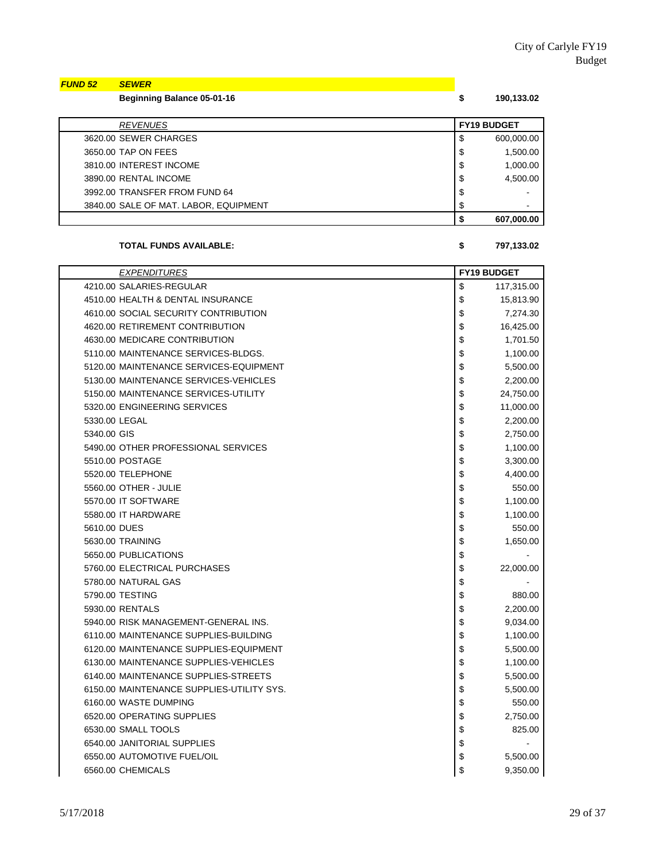| <b>FUND 52</b> | <b>SEWER</b>                      |            |
|----------------|-----------------------------------|------------|
|                | <b>Beginning Balance 05-01-16</b> | 190,133.02 |
|                |                                   |            |

| <b>REVENUES</b>                       |    | <b>FY19 BUDGET</b> |
|---------------------------------------|----|--------------------|
| 3620.00 SEWER CHARGES                 | S  | 600,000.00         |
| 3650.00 TAP ON FEES                   | \$ | 1.500.00           |
| 3810.00 INTEREST INCOME               | S  | 1.000.00           |
| 3890.00 RENTAL INCOME                 | \$ | 4.500.00           |
| 3992.00 TRANSFER FROM FUND 64         | \$ |                    |
| 3840.00 SALE OF MAT. LABOR. EQUIPMENT | S  |                    |
|                                       |    | 607.000.00         |

#### **TOTAL FUNDS AVAILABLE: \$ 797,133.02**

*EXPENDITURES* **FY19 BUDGET** 4210.00 SALARIES-REGULAR \$ 117,315.00 4510.00 HEALTH & DENTAL INSURANCE 8 15,813.90 4610.00 SOCIAL SECURITY CONTRIBUTION 6 1991 1 274.30 4620.00 RETIREMENT CONTRIBUTION **16,425.00** 4630.00 MEDICARE CONTRIBUTION  $\begin{array}{ccc} 1,701.50 \\ \end{array}$ 5110.00 MAINTENANCE SERVICES-BLDGS.  $\begin{array}{ccc} 1,100.00 \\ \end{array}$ 5120.00 MAINTENANCE SERVICES-EQUIPMENT FOR SALE AND SALE AND SALE AND SALE AND SALE AND SALE AND SALE AND SALE 5130.00 MAINTENANCE SERVICES-VEHICLES \$ 5130.00 \$ 2,200.00 5150.00 MAINTENANCE SERVICES-UTILITY 5150.00 \$ 24,750.00 5320.00 ENGINEERING SERVICES **\$11,000.00** \$11,000.00 5330.00 LEGAL 2,200.00 5340.00 GIS \$ 2,750.00 5490.00 OTHER PROFESSIONAL SERVICES **1.100.00 1.100.00** 5510.00 POSTAGE \$ 3,300.00 5520.00 TELEPHONE \$ 4,400.00 5560.00 OTHER - JULIE 350.00 SEP 350.00 5570.00 IT SOFTWARE \$ 1,100.00 5580.00 IT HARDWARE \$ 1,100.00 5610.00 DUES \$ 550.00 5630.00 TRAINING \$ 1,650.00 5650.00 PUBLICATIONS **\$1000 PUBLICATIONS** +  $\frac{1}{3}$ 5760.00 ELECTRICAL PURCHASES  $\begin{array}{ccc} 5760.00 & 522,000.00 \\ 1 & 22,000.00 \end{array}$ 5780.00 NATURAL GAS \$ - 5790.00 TESTING 880.00 5930.00 RENTALS \$ 2,200.00 5940.00 RISK MANAGEMENT-GENERAL INS.  $\begin{array}{ccc} 5940.00 & 0.34.00 \\ 0.34.00 & 0.34.00 \\ \end{array}$ 6110.00 MAINTENANCE SUPPLIES-BUILDING **100000** 1 1,100.00 6120.00 MAINTENANCE SUPPLIES-EQUIPMENT FOR SALE AND SALE SUPPLIES ON SALE AND SALE AND SALE SUPPLIES-EQUIPMENT 6130.00 MAINTENANCE SUPPLIES-VEHICLES 61 1622 11200.00 6140.00 MAINTENANCE SUPPLIES-STREETS  $\begin{array}{ccc} 8 & 5,500.00 \\ \end{array}$ 6150.00 MAINTENANCE SUPPLIES-UTILITY SYS.  $\begin{array}{ccc} 1 & 0 & 0 \\ 0 & 0 & 0 \\ 0 & 0 & 0 \end{array}$ 6160.00 WASTE DUMPING \$ 550.00 6520.00 OPERATING SUPPLIES \$ 2,750.00 6530.00 SMALL TOOLS 825.00 6540.00 JANITORIAL SUPPLIES \$ - 6550.00 AUTOMOTIVE FUEL/OIL 6550.00 **120 AUTOMOTIVE FUEL/OIL** 6560.00 CHEMICALS 8 9,350.00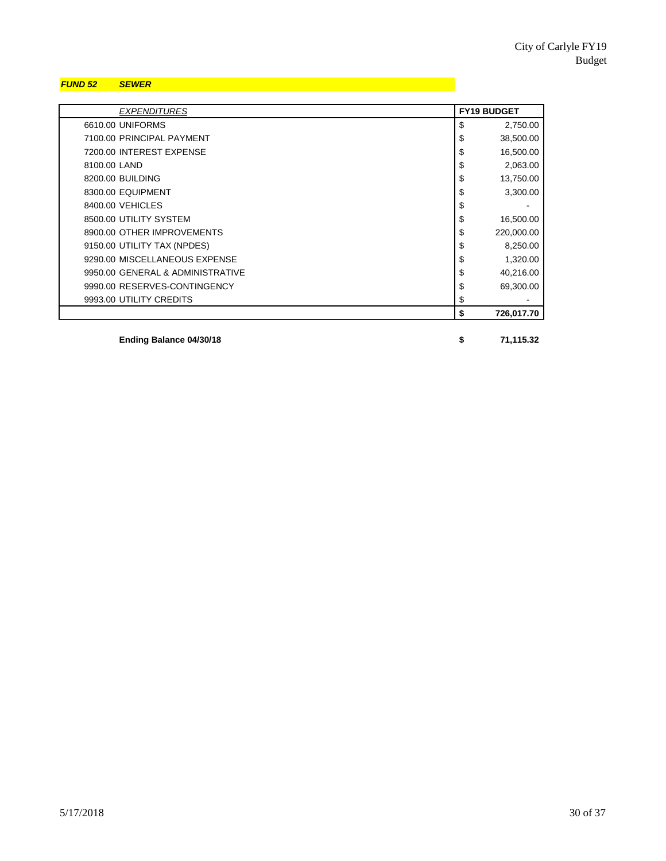### *FUND 52 SEWER*

| <b>EXPENDITURES</b>              | <b>FY19 BUDGET</b> |            |
|----------------------------------|--------------------|------------|
| 6610.00 UNIFORMS                 | \$                 | 2,750.00   |
| 7100.00 PRINCIPAL PAYMENT        | \$                 | 38,500.00  |
| 7200.00 INTEREST EXPENSE         | \$                 | 16,500.00  |
| 8100.00 LAND                     | \$                 | 2,063.00   |
| 8200.00 BUILDING                 | \$                 | 13,750.00  |
| 8300.00 EQUIPMENT                | \$                 | 3,300.00   |
| 8400.00 VEHICLES                 | \$                 |            |
| 8500.00 UTILITY SYSTEM           | \$                 | 16,500.00  |
| 8900.00 OTHER IMPROVEMENTS       | \$                 | 220,000.00 |
| 9150.00 UTILITY TAX (NPDES)      | \$                 | 8,250.00   |
| 9290.00 MISCELLANEOUS EXPENSE    | \$                 | 1,320.00   |
| 9950.00 GENERAL & ADMINISTRATIVE | \$                 | 40,216.00  |
| 9990.00 RESERVES-CONTINGENCY     | \$                 | 69,300.00  |
| 9993.00 UTILITY CREDITS          | \$                 |            |
|                                  | \$                 | 726,017.70 |

**Ending Balance 04/30/18 \$ 71,115.32**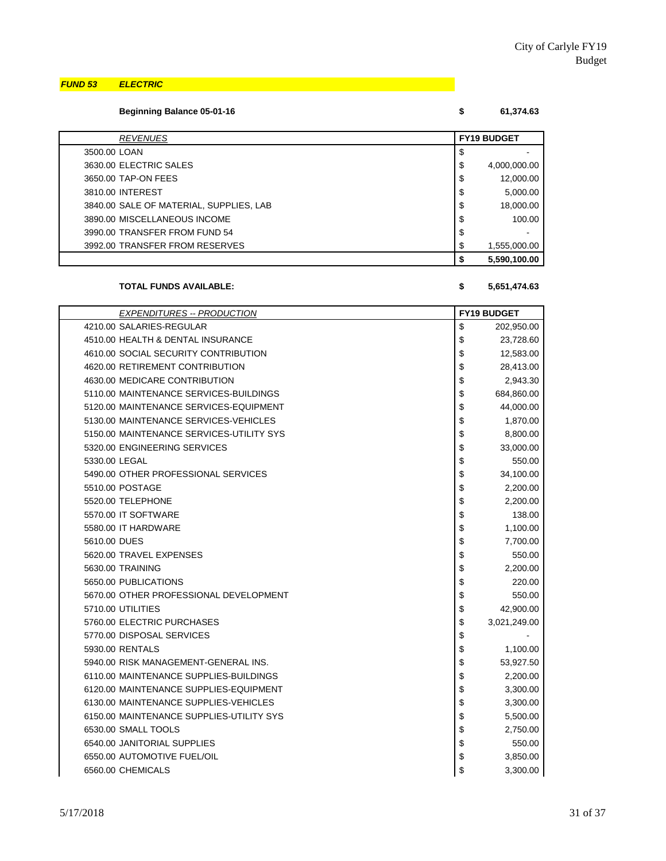#### *FUND 53 ELECTRIC*

**Beginning Balance 05-01-16 \$ 61,374.63**

| <b>REVENUES</b>                         | <b>FY19 BUDGET</b> |  |
|-----------------------------------------|--------------------|--|
| 3500.00 LOAN                            | \$                 |  |
| 3630.00 ELECTRIC SALES                  | \$<br>4,000,000.00 |  |
| 3650.00 TAP-ON FEES                     | \$<br>12,000.00    |  |
| 3810.00 INTEREST                        | \$<br>5,000.00     |  |
| 3840.00 SALE OF MATERIAL, SUPPLIES, LAB | \$<br>18,000.00    |  |
| 3890.00 MISCELLANEOUS INCOME            | \$<br>100.00       |  |
| 3990.00 TRANSFER FROM FUND 54           | \$                 |  |
| 3992.00 TRANSFER FROM RESERVES          | \$<br>1,555,000.00 |  |
|                                         | 5,590,100.00       |  |

### **TOTAL FUNDS AVAILABLE: \$ 5,651,474.63**

| <b>EXPENDITURES -- PRODUCTION</b>        | <b>FY19 BUDGET</b> |
|------------------------------------------|--------------------|
| 4210.00 SALARIES-REGULAR                 | \$<br>202,950.00   |
| 4510.00 HEALTH & DENTAL INSURANCE        | \$<br>23,728.60    |
| 4610.00 SOCIAL SECURITY CONTRIBUTION     | \$<br>12,583.00    |
| 4620.00 RETIREMENT CONTRIBUTION          | \$<br>28,413.00    |
| 4630.00 MEDICARE CONTRIBUTION            | \$<br>2,943.30     |
| 5110.00 MAINTENANCE SERVICES-BUILDINGS   | \$<br>684,860.00   |
| 5120.00 MAINTENANCE SERVICES-EQUIPMENT   | \$<br>44,000.00    |
| 5130.00 MAINTENANCE SERVICES-VEHICLES    | \$<br>1,870.00     |
| 5150.00 MAINTENANCE SERVICES-UTILITY SYS | \$<br>8,800.00     |
| 5320.00 ENGINEERING SERVICES             | \$<br>33,000.00    |
| 5330.00 LEGAL                            | \$<br>550.00       |
| 5490.00 OTHER PROFESSIONAL SERVICES      | \$<br>34,100.00    |
| 5510.00 POSTAGE                          | \$<br>2,200.00     |
| 5520.00 TELEPHONE                        | \$<br>2,200.00     |
| 5570.00 IT SOFTWARE                      | \$<br>138.00       |
| 5580.00 IT HARDWARE                      | \$<br>1,100.00     |
| 5610.00 DUES                             | \$<br>7,700.00     |
| 5620.00 TRAVEL EXPENSES                  | \$<br>550.00       |
| 5630.00 TRAINING                         | \$<br>2,200.00     |
| 5650.00 PUBLICATIONS                     | \$<br>220.00       |
| 5670.00 OTHER PROFESSIONAL DEVELOPMENT   | \$<br>550.00       |
| 5710.00 UTILITIES                        | \$<br>42,900.00    |
| 5760.00 ELECTRIC PURCHASES               | \$<br>3,021,249.00 |
| 5770.00 DISPOSAL SERVICES                | \$                 |
| 5930.00 RENTALS                          | \$<br>1,100.00     |
| 5940.00 RISK MANAGEMENT-GENERAL INS.     | \$<br>53,927.50    |
| 6110.00 MAINTENANCE SUPPLIES-BUILDINGS   | \$<br>2,200.00     |
| 6120.00 MAINTENANCE SUPPLIES-EQUIPMENT   | \$<br>3,300.00     |
| 6130.00 MAINTENANCE SUPPLIES-VEHICLES    | \$<br>3,300.00     |
| 6150.00 MAINTENANCE SUPPLIES-UTILITY SYS | \$<br>5,500.00     |
| 6530.00 SMALL TOOLS                      | \$<br>2,750.00     |
| 6540.00 JANITORIAL SUPPLIES              | \$<br>550.00       |
| 6550.00 AUTOMOTIVE FUEL/OIL              | \$<br>3,850.00     |
| 6560.00 CHEMICALS                        | \$<br>3,300.00     |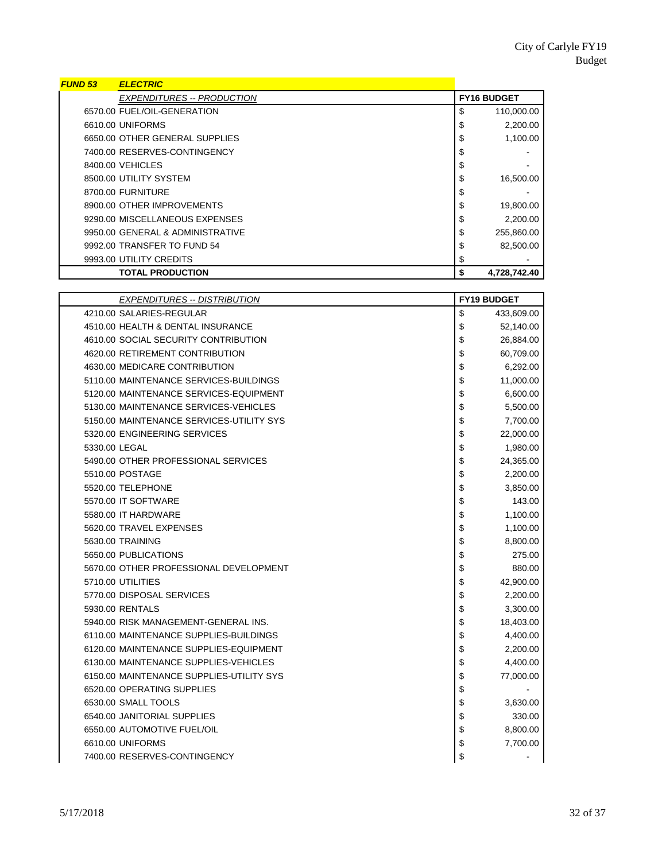| <b>FUND 53</b> | <b>ELECTRIC</b>                   |                    |              |
|----------------|-----------------------------------|--------------------|--------------|
|                | <b>EXPENDITURES -- PRODUCTION</b> | <b>FY16 BUDGET</b> |              |
|                | 6570.00 FUEL/OIL-GENERATION       | \$                 | 110,000.00   |
|                | 6610.00 UNIFORMS                  | \$                 | 2,200.00     |
|                | 6650.00 OTHER GENERAL SUPPLIES    | \$                 | 1,100.00     |
|                | 7400.00 RESERVES-CONTINGENCY      | \$                 |              |
|                | 8400.00 VEHICLES                  | \$                 |              |
|                | 8500.00 UTILITY SYSTEM            | \$                 | 16,500.00    |
|                | 8700.00 FURNITURE                 | \$                 |              |
|                | 8900.00 OTHER IMPROVEMENTS        | \$                 | 19,800.00    |
|                | 9290.00 MISCELLANEOUS EXPENSES    | \$                 | 2,200.00     |
|                | 9950.00 GENERAL & ADMINISTRATIVE  | \$                 | 255.860.00   |
|                | 9992.00 TRANSFER TO FUND 54       | \$                 | 82,500.00    |
|                | 9993.00 UTILITY CREDITS           | \$                 |              |
|                | <b>TOTAL PRODUCTION</b>           | \$                 | 4,728,742.40 |

| <b>EXPENDITURES -- DISTRIBUTION</b>      | <b>FY19 BUDGET</b> |            |
|------------------------------------------|--------------------|------------|
| 4210.00 SALARIES-REGULAR                 | \$                 | 433,609.00 |
| 4510.00 HEALTH & DENTAL INSURANCE        | \$                 | 52,140.00  |
| 4610.00 SOCIAL SECURITY CONTRIBUTION     | \$                 | 26,884.00  |
| 4620.00 RETIREMENT CONTRIBUTION          | \$                 | 60,709.00  |
| 4630.00 MEDICARE CONTRIBUTION            | \$                 | 6,292.00   |
| 5110.00 MAINTENANCE SERVICES-BUILDINGS   | \$                 | 11,000.00  |
| 5120.00 MAINTENANCE SERVICES-EQUIPMENT   | \$                 | 6,600.00   |
| 5130.00 MAINTENANCE SERVICES-VEHICLES    | \$                 | 5,500.00   |
| 5150.00 MAINTENANCE SERVICES-UTILITY SYS | \$                 | 7,700.00   |
| 5320.00 ENGINEERING SERVICES             | \$                 | 22,000.00  |
| 5330.00 LEGAL                            | \$                 | 1,980.00   |
| 5490.00 OTHER PROFESSIONAL SERVICES      | \$                 | 24,365.00  |
| 5510.00 POSTAGE                          | \$                 | 2,200.00   |
| 5520.00 TELEPHONE                        | \$                 | 3,850.00   |
| 5570.00 IT SOFTWARE                      | \$                 | 143.00     |
| 5580.00 IT HARDWARE                      | \$                 | 1,100.00   |
| 5620.00 TRAVEL EXPENSES                  | \$                 | 1,100.00   |
| 5630.00 TRAINING                         | \$                 | 8,800.00   |
| 5650.00 PUBLICATIONS                     | \$                 | 275.00     |
| 5670.00 OTHER PROFESSIONAL DEVELOPMENT   | \$                 | 880.00     |
| 5710.00 UTILITIES                        | \$                 | 42,900.00  |
| 5770.00 DISPOSAL SERVICES                | \$                 | 2,200.00   |
| 5930.00 RENTALS                          | \$                 | 3,300.00   |
| 5940.00 RISK MANAGEMENT-GENERAL INS.     | \$                 | 18,403.00  |
| 6110.00 MAINTENANCE SUPPLIES-BUILDINGS   | \$                 | 4,400.00   |
| 6120.00 MAINTENANCE SUPPLIES-EQUIPMENT   | \$                 | 2,200.00   |
| 6130.00 MAINTENANCE SUPPLIES-VEHICLES    | \$                 | 4,400.00   |
| 6150.00 MAINTENANCE SUPPLIES-UTILITY SYS | \$                 | 77,000.00  |
| 6520.00 OPERATING SUPPLIES               | \$                 |            |
| 6530.00 SMALL TOOLS                      | \$                 | 3,630.00   |
| 6540.00 JANITORIAL SUPPLIES              | \$                 | 330.00     |
| 6550.00 AUTOMOTIVE FUEL/OIL              | \$                 | 8,800.00   |
| 6610.00 UNIFORMS                         | \$                 | 7,700.00   |
| 7400.00 RESERVES-CONTINGENCY             | \$                 |            |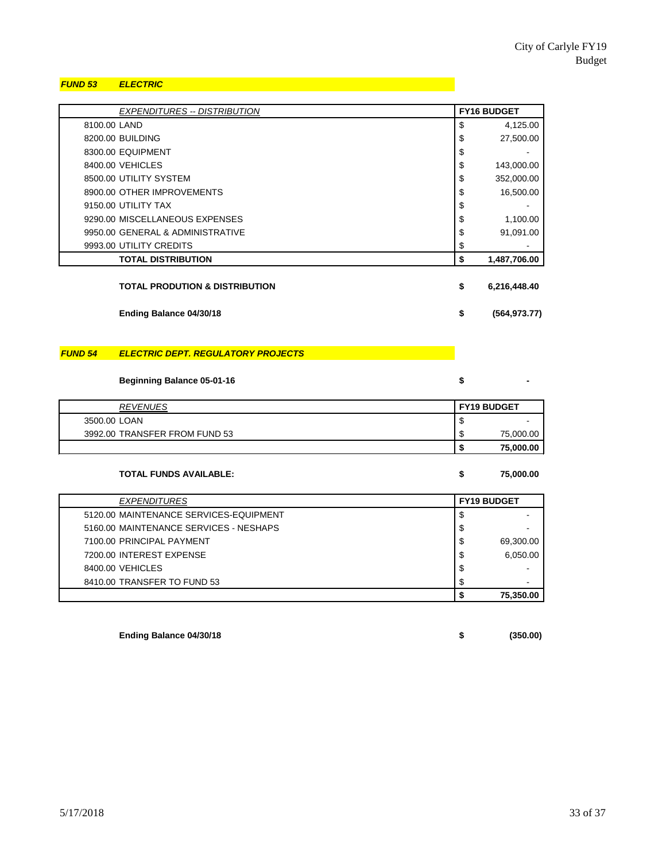### *FUND 53 ELECTRIC*

| <b>EXPENDITURES -- DISTRIBUTION</b> | <b>FY16 BUDGET</b> |  |
|-------------------------------------|--------------------|--|
| 8100.00 LAND                        | \$<br>4,125.00     |  |
| 8200.00 BUILDING                    | \$<br>27,500.00    |  |
| 8300.00 EQUIPMENT                   | \$                 |  |
| 8400.00 VEHICLES                    | \$<br>143,000.00   |  |
| 8500.00 UTILITY SYSTEM              | \$<br>352,000.00   |  |
| 8900.00 OTHER IMPROVEMENTS          | \$<br>16,500.00    |  |
| 9150.00 UTILITY TAX                 | \$                 |  |
| 9290.00 MISCELLANEOUS EXPENSES      | \$<br>1,100.00     |  |
| 9950.00 GENERAL & ADMINISTRATIVE    | \$<br>91,091.00    |  |
| 9993.00 UTILITY CREDITS             | \$                 |  |
| <b>TOTAL DISTRIBUTION</b>           | \$<br>1,487,706.00 |  |
| TOTAL PRODUTION & DISTRIBUTION      | \$<br>6,216,448.40 |  |

**Ending Balance 04/30/18 \$ (564,973.77)**

#### *FUND 54 ELECTRIC DEPT. REGULATORY PROJECTS*

**Beginning Balance 05-01-16 \$** 

| <b>REVENUES</b>               | <b>FY19 BUDGET</b> |                          |
|-------------------------------|--------------------|--------------------------|
| 3500.00 LOAN                  | J                  | $\overline{\phantom{a}}$ |
| 3992.00 TRANSFER FROM FUND 53 | ۰D                 | 75,000.00                |
|                               | -11                | 75,000.00                |

#### **TOTAL FUNDS AVAILABLE: \$ 75,000.00**

*EXPENDITURES* **FY19 BUDGET** 5120.00 MAINTENANCE SERVICES-EQUIPMENT  $\int$  \$ 5160.00 MAINTENANCE SERVICES - NESHAPS \$ - 7100.00 PRINCIPAL PAYMENT 8 69,300.00 7200.00 INTEREST EXPENSE 6,050.00  $8400.00 \text{ VEHICLES}$   $\qquad \qquad$ 8410.00 TRANSFER TO FUND 53 **\$ 75,350.00**

**Ending Balance 04/30/18 \$ (350.00)**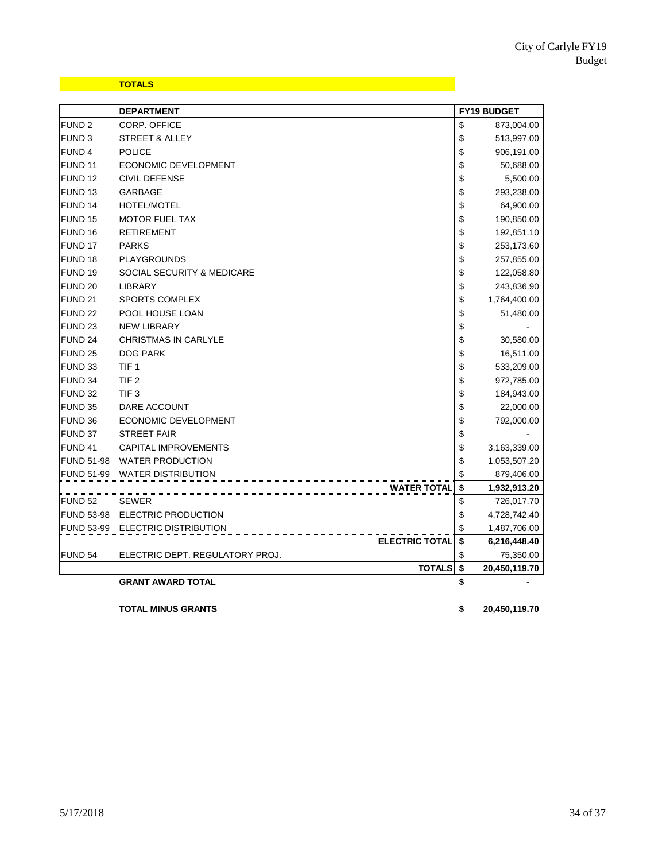# **TOTALS TOTALS TOTALS**

|                    | <b>DEPARTMENT</b>               | <b>FY19 BUDGET</b> |               |
|--------------------|---------------------------------|--------------------|---------------|
| FUND <sub>2</sub>  | CORP. OFFICE                    | \$                 | 873,004.00    |
| FUND <sub>3</sub>  | STREET & ALLEY                  | \$                 | 513,997.00    |
| FUND 4             | <b>POLICE</b>                   | \$                 | 906,191.00    |
| FUND <sub>11</sub> | ECONOMIC DEVELOPMENT            | \$                 | 50,688.00     |
| FUND <sub>12</sub> | CIVIL DEFENSE                   | \$                 | 5,500.00      |
| FUND <sub>13</sub> | GARBAGE                         | \$                 | 293,238.00    |
| FUND <sub>14</sub> | <b>HOTEL/MOTEL</b>              | \$                 | 64,900.00     |
| FUND <sub>15</sub> | <b>MOTOR FUEL TAX</b>           | \$                 | 190,850.00    |
| FUND 16            | <b>RETIREMENT</b>               | \$                 | 192,851.10    |
| FUND 17            | <b>PARKS</b>                    | \$                 | 253,173.60    |
| FUND 18            | <b>PLAYGROUNDS</b>              | \$                 | 257,855.00    |
| FUND <sub>19</sub> | SOCIAL SECURITY & MEDICARE      | \$                 | 122,058.80    |
| FUND <sub>20</sub> | <b>LIBRARY</b>                  | \$                 | 243,836.90    |
| FUND <sub>21</sub> | SPORTS COMPLEX                  | \$                 | 1,764,400.00  |
| FUND <sub>22</sub> | POOL HOUSE LOAN                 | \$                 | 51,480.00     |
| FUND <sub>23</sub> | <b>NEW LIBRARY</b>              | \$                 |               |
| FUND <sub>24</sub> | <b>CHRISTMAS IN CARLYLE</b>     | \$                 | 30,580.00     |
| <b>FUND 25</b>     | <b>DOG PARK</b>                 | \$                 | 16,511.00     |
| FUND 33            | TIF <sub>1</sub>                | \$                 | 533,209.00    |
| FUND 34            | TIF <sub>2</sub>                | \$                 | 972,785.00    |
| <b>FUND 32</b>     | TIF <sub>3</sub>                | \$                 | 184,943.00    |
| FUND 35            | DARE ACCOUNT                    | \$                 | 22,000.00     |
| FUND 36            | ECONOMIC DEVELOPMENT            | \$                 | 792,000.00    |
| FUND 37            | <b>STREET FAIR</b>              | \$                 |               |
| FUND 41            | <b>CAPITAL IMPROVEMENTS</b>     | \$                 | 3,163,339.00  |
| <b>FUND 51-98</b>  | <b>WATER PRODUCTION</b>         | \$                 | 1,053,507.20  |
| FUND 51-99         | <b>WATER DISTRIBUTION</b>       | \$                 | 879,406.00    |
|                    | WATER TOTAL                     | \$                 | 1,932,913.20  |
| FUND 52            | <b>SEWER</b>                    | \$                 | 726,017.70    |
| FUND 53-98         | ELECTRIC PRODUCTION             | \$                 | 4,728,742.40  |
| FUND 53-99         | ELECTRIC DISTRIBUTION           | \$                 | 1,487,706.00  |
|                    | <b>ELECTRIC TOTAL</b>           | \$                 | 6,216,448.40  |
| FUND 54            | ELECTRIC DEPT. REGULATORY PROJ. | \$                 | 75,350.00     |
|                    | <b>TOTALS</b>                   | \$                 | 20,450,119.70 |
|                    | <b>GRANT AWARD TOTAL</b>        | \$                 |               |

**TOTAL MINUS GRANTS \$ 20,450,119.70**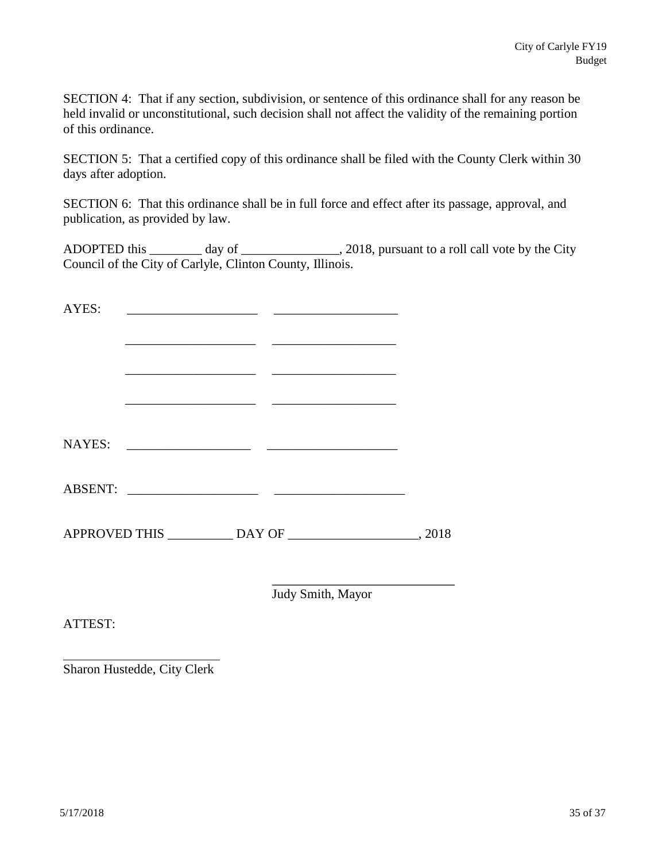SECTION 4: That if any section, subdivision, or sentence of this ordinance shall for any reason be held invalid or unconstitutional, such decision shall not affect the validity of the remaining portion of this ordinance.

SECTION 5: That a certified copy of this ordinance shall be filed with the County Clerk within 30 days after adoption.

SECTION 6: That this ordinance shall be in full force and effect after its passage, approval, and publication, as provided by law.

ADOPTED this \_\_\_\_\_\_\_\_ day of \_\_\_\_\_\_\_\_\_\_\_\_\_\_\_, 2018, pursuant to a roll call vote by the City Council of the City of Carlyle, Clinton County, Illinois.

Judy Smith, Mayor

ATTEST:

Sharon Hustedde, City Clerk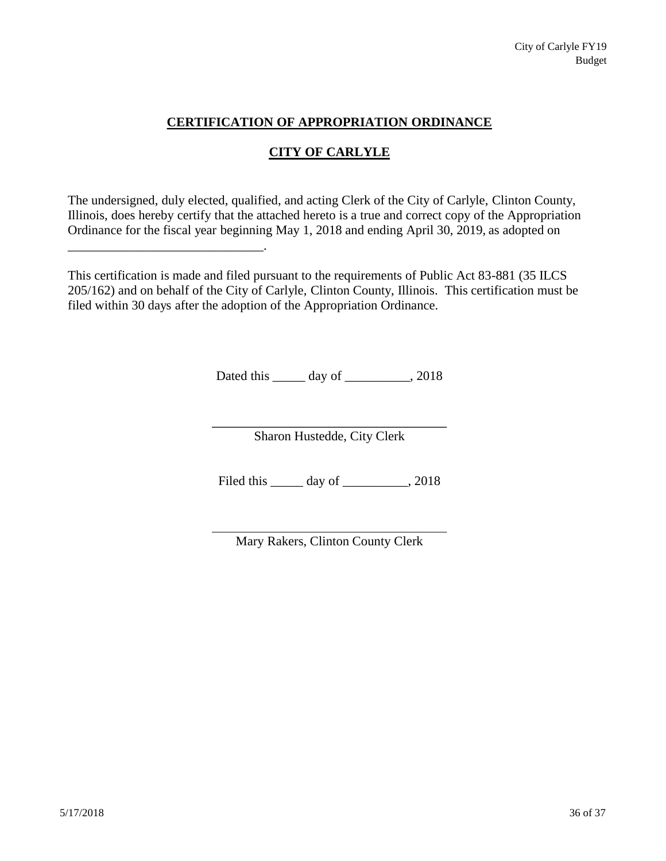# **CERTIFICATION OF APPROPRIATION ORDINANCE**

# **CITY OF CARLYLE**

The undersigned, duly elected, qualified, and acting Clerk of the City of Carlyle, Clinton County, Illinois, does hereby certify that the attached hereto is a true and correct copy of the Appropriation Ordinance for the fiscal year beginning May 1, 2018 and ending April 30, 2019, as adopted on

\_\_\_\_\_\_\_\_\_\_\_\_\_\_\_\_\_\_\_\_\_\_\_\_\_\_\_\_\_\_.

This certification is made and filed pursuant to the requirements of Public Act 83-881 (35 ILCS 205/162) and on behalf of the City of Carlyle, Clinton County, Illinois. This certification must be filed within 30 days after the adoption of the Appropriation Ordinance.

Dated this \_\_\_\_\_\_ day of \_\_\_\_\_\_\_\_\_, 2018

Sharon Hustedde, City Clerk

Filed this day of \_\_\_\_\_\_\_\_, 2018

Mary Rakers, Clinton County Clerk